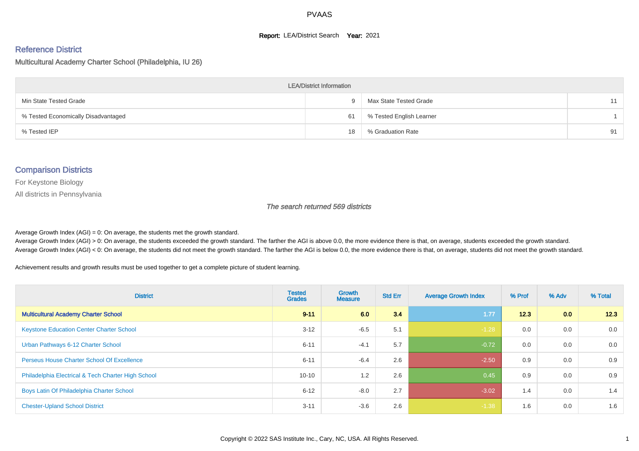#### **Report: LEA/District Search Year: 2021**

#### Reference District

#### Multicultural Academy Charter School (Philadelphia, IU 26)

| <b>LEA/District Information</b>     |    |                          |    |  |  |  |  |  |  |  |
|-------------------------------------|----|--------------------------|----|--|--|--|--|--|--|--|
| Min State Tested Grade              | u  | Max State Tested Grade   | 11 |  |  |  |  |  |  |  |
| % Tested Economically Disadvantaged | 61 | % Tested English Learner |    |  |  |  |  |  |  |  |
| % Tested IEP                        | 18 | % Graduation Rate        | 91 |  |  |  |  |  |  |  |

#### Comparison Districts

For Keystone Biology

All districts in Pennsylvania

The search returned 569 districts

Average Growth Index  $(AGI) = 0$ : On average, the students met the growth standard.

Average Growth Index (AGI) > 0: On average, the students exceeded the growth standard. The farther the AGI is above 0.0, the more evidence there is that, on average, students exceeded the growth standard. Average Growth Index (AGI) < 0: On average, the students did not meet the growth standard. The farther the AGI is below 0.0, the more evidence there is that, on average, students did not meet the growth standard.

Achievement results and growth results must be used together to get a complete picture of student learning.

| <b>District</b>                                    | <b>Tested</b><br><b>Grades</b> | <b>Growth</b><br><b>Measure</b> | <b>Std Err</b> | <b>Average Growth Index</b> | % Prof | % Adv            | % Total |
|----------------------------------------------------|--------------------------------|---------------------------------|----------------|-----------------------------|--------|------------------|---------|
| <b>Multicultural Academy Charter School</b>        | $9 - 11$                       | 6.0                             | 3.4            | 1.77                        | 12.3   | 0.0 <sub>1</sub> | 12.3    |
| <b>Keystone Education Center Charter School</b>    | $3 - 12$                       | $-6.5$                          | 5.1            | $-1.28$                     | 0.0    | 0.0              | 0.0     |
| Urban Pathways 6-12 Charter School                 | $6 - 11$                       | $-4.1$                          | 5.7            | $-0.72$                     | 0.0    | 0.0              | 0.0     |
| <b>Perseus House Charter School Of Excellence</b>  | $6 - 11$                       | $-6.4$                          | 2.6            | $-2.50$                     | 0.9    | 0.0              | 0.9     |
| Philadelphia Electrical & Tech Charter High School | $10 - 10$                      | 1.2                             | 2.6            | 0.45                        | 0.9    | 0.0              | 0.9     |
| Boys Latin Of Philadelphia Charter School          | $6 - 12$                       | $-8.0$                          | 2.7            | $-3.02$                     | 1.4    | 0.0              | 1.4     |
| <b>Chester-Upland School District</b>              | $3 - 11$                       | $-3.6$                          | 2.6            | $-1.38$                     | 1.6    | 0.0              | 1.6     |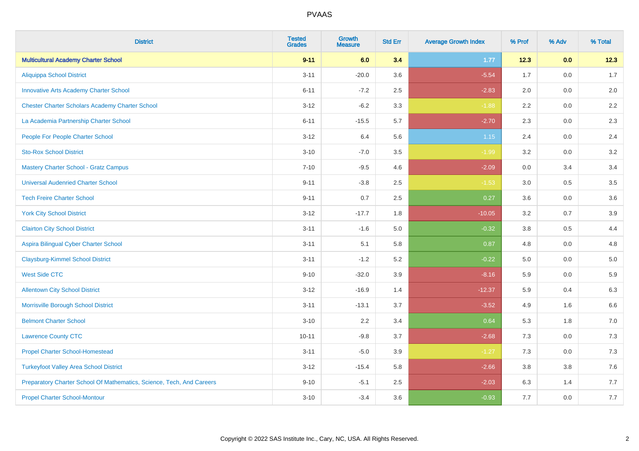| <b>District</b>                                                       | <b>Tested</b><br><b>Grades</b> | <b>Growth</b><br><b>Measure</b> | <b>Std Err</b> | <b>Average Growth Index</b> | % Prof | % Adv   | % Total |
|-----------------------------------------------------------------------|--------------------------------|---------------------------------|----------------|-----------------------------|--------|---------|---------|
| <b>Multicultural Academy Charter School</b>                           | $9 - 11$                       | 6.0                             | 3.4            | 1.77                        | 12.3   | 0.0     | 12.3    |
| <b>Aliquippa School District</b>                                      | $3 - 11$                       | $-20.0$                         | 3.6            | $-5.54$                     | 1.7    | 0.0     | 1.7     |
| <b>Innovative Arts Academy Charter School</b>                         | $6 - 11$                       | $-7.2$                          | 2.5            | $-2.83$                     | 2.0    | 0.0     | 2.0     |
| <b>Chester Charter Scholars Academy Charter School</b>                | $3 - 12$                       | $-6.2$                          | 3.3            | $-1.88$                     | 2.2    | 0.0     | $2.2\,$ |
| La Academia Partnership Charter School                                | $6 - 11$                       | $-15.5$                         | 5.7            | $-2.70$                     | 2.3    | 0.0     | 2.3     |
| People For People Charter School                                      | $3 - 12$                       | 6.4                             | 5.6            | $1.15$                      | 2.4    | 0.0     | 2.4     |
| <b>Sto-Rox School District</b>                                        | $3 - 10$                       | $-7.0$                          | 3.5            | $-1.99$                     | 3.2    | $0.0\,$ | 3.2     |
| <b>Mastery Charter School - Gratz Campus</b>                          | $7 - 10$                       | $-9.5$                          | 4.6            | $-2.09$                     | 0.0    | 3.4     | 3.4     |
| <b>Universal Audenried Charter School</b>                             | $9 - 11$                       | $-3.8$                          | 2.5            | $-1.53$                     | 3.0    | 0.5     | 3.5     |
| <b>Tech Freire Charter School</b>                                     | $9 - 11$                       | 0.7                             | 2.5            | 0.27                        | 3.6    | 0.0     | 3.6     |
| <b>York City School District</b>                                      | $3 - 12$                       | $-17.7$                         | 1.8            | $-10.05$                    | 3.2    | 0.7     | 3.9     |
| <b>Clairton City School District</b>                                  | $3 - 11$                       | $-1.6$                          | 5.0            | $-0.32$                     | 3.8    | 0.5     | 4.4     |
| Aspira Bilingual Cyber Charter School                                 | $3 - 11$                       | 5.1                             | 5.8            | 0.87                        | 4.8    | 0.0     | 4.8     |
| <b>Claysburg-Kimmel School District</b>                               | $3 - 11$                       | $-1.2$                          | 5.2            | $-0.22$                     | 5.0    | 0.0     | 5.0     |
| <b>West Side CTC</b>                                                  | $9 - 10$                       | $-32.0$                         | 3.9            | $-8.16$                     | 5.9    | 0.0     | 5.9     |
| <b>Allentown City School District</b>                                 | $3 - 12$                       | $-16.9$                         | 1.4            | $-12.37$                    | 5.9    | 0.4     | 6.3     |
| Morrisville Borough School District                                   | $3 - 11$                       | $-13.1$                         | 3.7            | $-3.52$                     | 4.9    | 1.6     | 6.6     |
| <b>Belmont Charter School</b>                                         | $3 - 10$                       | 2.2                             | 3.4            | 0.64                        | 5.3    | 1.8     | $7.0\,$ |
| <b>Lawrence County CTC</b>                                            | $10 - 11$                      | $-9.8$                          | 3.7            | $-2.68$                     | 7.3    | 0.0     | 7.3     |
| <b>Propel Charter School-Homestead</b>                                | $3 - 11$                       | $-5.0$                          | 3.9            | $-1.27$                     | 7.3    | 0.0     | $7.3$   |
| <b>Turkeyfoot Valley Area School District</b>                         | $3 - 12$                       | $-15.4$                         | 5.8            | $-2.66$                     | 3.8    | $3.8\,$ | $7.6$   |
| Preparatory Charter School Of Mathematics, Science, Tech, And Careers | $9 - 10$                       | $-5.1$                          | 2.5            | $-2.03$                     | 6.3    | 1.4     | 7.7     |
| <b>Propel Charter School-Montour</b>                                  | $3 - 10$                       | $-3.4$                          | 3.6            | $-0.93$                     | 7.7    | 0.0     | 7.7     |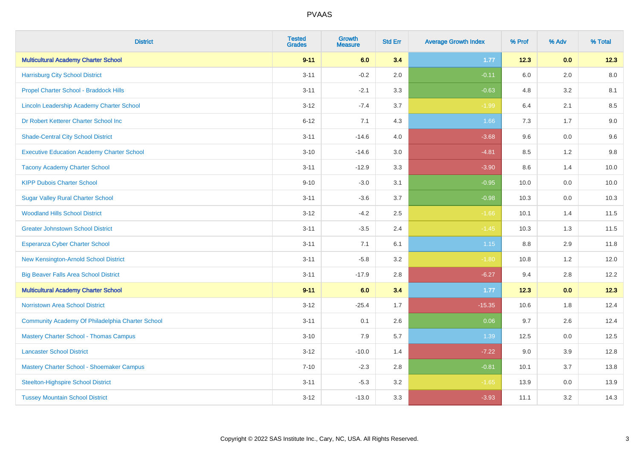| <b>District</b>                                   | <b>Tested</b><br><b>Grades</b> | <b>Growth</b><br><b>Measure</b> | <b>Std Err</b> | <b>Average Growth Index</b> | % Prof  | % Adv   | % Total |
|---------------------------------------------------|--------------------------------|---------------------------------|----------------|-----------------------------|---------|---------|---------|
| <b>Multicultural Academy Charter School</b>       | $9 - 11$                       | 6.0                             | 3.4            | 1.77                        | 12.3    | 0.0     | 12.3    |
| <b>Harrisburg City School District</b>            | $3 - 11$                       | $-0.2$                          | 2.0            | $-0.11$                     | 6.0     | 2.0     | 8.0     |
| Propel Charter School - Braddock Hills            | $3 - 11$                       | $-2.1$                          | 3.3            | $-0.63$                     | 4.8     | 3.2     | 8.1     |
| Lincoln Leadership Academy Charter School         | $3 - 12$                       | $-7.4$                          | 3.7            | $-1.99$                     | 6.4     | 2.1     | 8.5     |
| Dr Robert Ketterer Charter School Inc             | $6 - 12$                       | 7.1                             | 4.3            | 1.66                        | 7.3     | 1.7     | 9.0     |
| <b>Shade-Central City School District</b>         | $3 - 11$                       | $-14.6$                         | 4.0            | $-3.68$                     | 9.6     | 0.0     | 9.6     |
| <b>Executive Education Academy Charter School</b> | $3 - 10$                       | $-14.6$                         | 3.0            | $-4.81$                     | 8.5     | 1.2     | 9.8     |
| <b>Tacony Academy Charter School</b>              | $3 - 11$                       | $-12.9$                         | 3.3            | $-3.90$                     | 8.6     | 1.4     | 10.0    |
| <b>KIPP Dubois Charter School</b>                 | $9 - 10$                       | $-3.0$                          | 3.1            | $-0.95$                     | 10.0    | 0.0     | 10.0    |
| <b>Sugar Valley Rural Charter School</b>          | $3 - 11$                       | $-3.6$                          | 3.7            | $-0.98$                     | 10.3    | 0.0     | 10.3    |
| <b>Woodland Hills School District</b>             | $3 - 12$                       | $-4.2$                          | 2.5            | $-1.66$                     | 10.1    | 1.4     | 11.5    |
| <b>Greater Johnstown School District</b>          | $3 - 11$                       | $-3.5$                          | 2.4            | $-1.45$                     | 10.3    | 1.3     | 11.5    |
| <b>Esperanza Cyber Charter School</b>             | $3 - 11$                       | 7.1                             | 6.1            | 1.15                        | $8.8\,$ | $2.9\,$ | 11.8    |
| New Kensington-Arnold School District             | $3 - 11$                       | $-5.8$                          | 3.2            | $-1.80$                     | 10.8    | 1.2     | 12.0    |
| <b>Big Beaver Falls Area School District</b>      | $3 - 11$                       | $-17.9$                         | 2.8            | $-6.27$                     | 9.4     | 2.8     | 12.2    |
| <b>Multicultural Academy Charter School</b>       | $9 - 11$                       | 6.0                             | 3.4            | 1.77                        | 12.3    | 0.0     | 12.3    |
| <b>Norristown Area School District</b>            | $3 - 12$                       | $-25.4$                         | 1.7            | $-15.35$                    | 10.6    | 1.8     | 12.4    |
| Community Academy Of Philadelphia Charter School  | $3 - 11$                       | 0.1                             | 2.6            | 0.06                        | 9.7     | 2.6     | 12.4    |
| <b>Mastery Charter School - Thomas Campus</b>     | $3 - 10$                       | 7.9                             | 5.7            | 1.39                        | 12.5    | 0.0     | 12.5    |
| <b>Lancaster School District</b>                  | $3 - 12$                       | $-10.0$                         | 1.4            | $-7.22$                     | 9.0     | 3.9     | 12.8    |
| Mastery Charter School - Shoemaker Campus         | $7 - 10$                       | $-2.3$                          | 2.8            | $-0.81$                     | 10.1    | 3.7     | 13.8    |
| <b>Steelton-Highspire School District</b>         | $3 - 11$                       | $-5.3$                          | 3.2            | $-1.65$                     | 13.9    | 0.0     | 13.9    |
| <b>Tussey Mountain School District</b>            | $3 - 12$                       | $-13.0$                         | 3.3            | $-3.93$                     | 11.1    | 3.2     | 14.3    |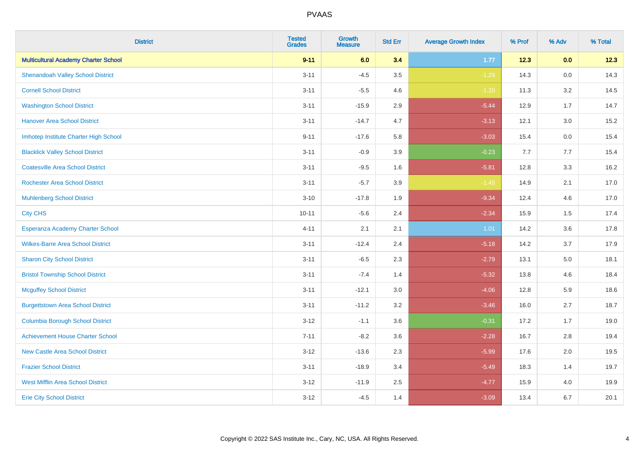| <b>District</b>                             | <b>Tested</b><br><b>Grades</b> | <b>Growth</b><br><b>Measure</b> | <b>Std Err</b> | <b>Average Growth Index</b> | % Prof | % Adv | % Total |
|---------------------------------------------|--------------------------------|---------------------------------|----------------|-----------------------------|--------|-------|---------|
| <b>Multicultural Academy Charter School</b> | $9 - 11$                       | 6.0                             | 3.4            | 1.77                        | 12.3   | 0.0   | 12.3    |
| <b>Shenandoah Valley School District</b>    | $3 - 11$                       | $-4.5$                          | 3.5            | $-1.29$                     | 14.3   | 0.0   | 14.3    |
| <b>Cornell School District</b>              | $3 - 11$                       | $-5.5$                          | 4.6            | $-1.20$                     | 11.3   | 3.2   | 14.5    |
| <b>Washington School District</b>           | $3 - 11$                       | $-15.9$                         | 2.9            | $-5.44$                     | 12.9   | 1.7   | 14.7    |
| <b>Hanover Area School District</b>         | $3 - 11$                       | $-14.7$                         | 4.7            | $-3.13$                     | 12.1   | 3.0   | 15.2    |
| Imhotep Institute Charter High School       | $9 - 11$                       | $-17.6$                         | 5.8            | $-3.03$                     | 15.4   | 0.0   | 15.4    |
| <b>Blacklick Valley School District</b>     | $3 - 11$                       | $-0.9$                          | 3.9            | $-0.23$                     | 7.7    | 7.7   | 15.4    |
| <b>Coatesville Area School District</b>     | $3 - 11$                       | $-9.5$                          | 1.6            | $-5.81$                     | 12.8   | 3.3   | 16.2    |
| <b>Rochester Area School District</b>       | $3 - 11$                       | $-5.7$                          | 3.9            | $-1.45$                     | 14.9   | 2.1   | 17.0    |
| <b>Muhlenberg School District</b>           | $3 - 10$                       | $-17.8$                         | 1.9            | $-9.34$                     | 12.4   | 4.6   | 17.0    |
| <b>City CHS</b>                             | $10 - 11$                      | $-5.6$                          | 2.4            | $-2.34$                     | 15.9   | 1.5   | 17.4    |
| Esperanza Academy Charter School            | $4 - 11$                       | 2.1                             | 2.1            | 1.01                        | 14.2   | 3.6   | 17.8    |
| <b>Wilkes-Barre Area School District</b>    | $3 - 11$                       | $-12.4$                         | 2.4            | $-5.18$                     | 14.2   | 3.7   | 17.9    |
| <b>Sharon City School District</b>          | $3 - 11$                       | $-6.5$                          | 2.3            | $-2.79$                     | 13.1   | 5.0   | 18.1    |
| <b>Bristol Township School District</b>     | $3 - 11$                       | $-7.4$                          | 1.4            | $-5.32$                     | 13.8   | 4.6   | 18.4    |
| <b>Mcguffey School District</b>             | $3 - 11$                       | $-12.1$                         | 3.0            | $-4.06$                     | 12.8   | 5.9   | 18.6    |
| <b>Burgettstown Area School District</b>    | $3 - 11$                       | $-11.2$                         | 3.2            | $-3.46$                     | 16.0   | 2.7   | 18.7    |
| <b>Columbia Borough School District</b>     | $3 - 12$                       | $-1.1$                          | 3.6            | $-0.31$                     | 17.2   | 1.7   | 19.0    |
| <b>Achievement House Charter School</b>     | $7 - 11$                       | $-8.2$                          | 3.6            | $-2.28$                     | 16.7   | 2.8   | 19.4    |
| <b>New Castle Area School District</b>      | $3 - 12$                       | $-13.6$                         | 2.3            | $-5.99$                     | 17.6   | 2.0   | 19.5    |
| <b>Frazier School District</b>              | $3 - 11$                       | $-18.9$                         | 3.4            | $-5.49$                     | 18.3   | 1.4   | 19.7    |
| <b>West Mifflin Area School District</b>    | $3 - 12$                       | $-11.9$                         | 2.5            | $-4.77$                     | 15.9   | 4.0   | 19.9    |
| <b>Erie City School District</b>            | $3 - 12$                       | $-4.5$                          | 1.4            | $-3.09$                     | 13.4   | 6.7   | 20.1    |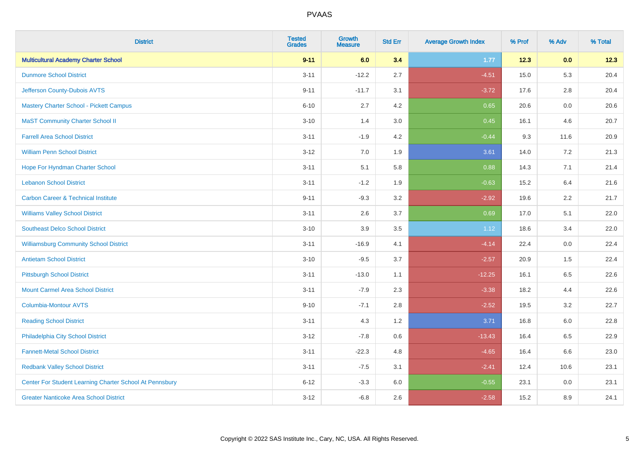| <b>District</b>                                         | <b>Tested</b><br><b>Grades</b> | <b>Growth</b><br><b>Measure</b> | <b>Std Err</b> | <b>Average Growth Index</b> | % Prof | % Adv   | % Total |
|---------------------------------------------------------|--------------------------------|---------------------------------|----------------|-----------------------------|--------|---------|---------|
| <b>Multicultural Academy Charter School</b>             | $9 - 11$                       | 6.0                             | 3.4            | 1.77                        | 12.3   | 0.0     | 12.3    |
| <b>Dunmore School District</b>                          | $3 - 11$                       | $-12.2$                         | 2.7            | $-4.51$                     | 15.0   | 5.3     | 20.4    |
| Jefferson County-Dubois AVTS                            | $9 - 11$                       | $-11.7$                         | 3.1            | $-3.72$                     | 17.6   | 2.8     | 20.4    |
| <b>Mastery Charter School - Pickett Campus</b>          | $6 - 10$                       | 2.7                             | 4.2            | 0.65                        | 20.6   | $0.0\,$ | 20.6    |
| <b>MaST Community Charter School II</b>                 | $3 - 10$                       | 1.4                             | 3.0            | 0.45                        | 16.1   | 4.6     | 20.7    |
| <b>Farrell Area School District</b>                     | $3 - 11$                       | $-1.9$                          | 4.2            | $-0.44$                     | 9.3    | 11.6    | 20.9    |
| <b>William Penn School District</b>                     | $3 - 12$                       | 7.0                             | 1.9            | 3.61                        | 14.0   | 7.2     | 21.3    |
| Hope For Hyndman Charter School                         | $3 - 11$                       | 5.1                             | 5.8            | 0.88                        | 14.3   | 7.1     | 21.4    |
| <b>Lebanon School District</b>                          | $3 - 11$                       | $-1.2$                          | 1.9            | $-0.63$                     | 15.2   | 6.4     | 21.6    |
| <b>Carbon Career &amp; Technical Institute</b>          | $9 - 11$                       | $-9.3$                          | 3.2            | $-2.92$                     | 19.6   | $2.2\,$ | 21.7    |
| <b>Williams Valley School District</b>                  | $3 - 11$                       | 2.6                             | 3.7            | 0.69                        | 17.0   | 5.1     | 22.0    |
| <b>Southeast Delco School District</b>                  | $3 - 10$                       | 3.9                             | 3.5            | $1.12$                      | 18.6   | 3.4     | 22.0    |
| <b>Williamsburg Community School District</b>           | $3 - 11$                       | $-16.9$                         | 4.1            | $-4.14$                     | 22.4   | $0.0\,$ | 22.4    |
| <b>Antietam School District</b>                         | $3 - 10$                       | $-9.5$                          | 3.7            | $-2.57$                     | 20.9   | 1.5     | 22.4    |
| <b>Pittsburgh School District</b>                       | $3 - 11$                       | $-13.0$                         | 1.1            | $-12.25$                    | 16.1   | 6.5     | 22.6    |
| <b>Mount Carmel Area School District</b>                | $3 - 11$                       | $-7.9$                          | 2.3            | $-3.38$                     | 18.2   | 4.4     | 22.6    |
| <b>Columbia-Montour AVTS</b>                            | $9 - 10$                       | $-7.1$                          | 2.8            | $-2.52$                     | 19.5   | 3.2     | 22.7    |
| <b>Reading School District</b>                          | $3 - 11$                       | 4.3                             | 1.2            | 3.71                        | 16.8   | 6.0     | 22.8    |
| Philadelphia City School District                       | $3 - 12$                       | $-7.8$                          | 0.6            | $-13.43$                    | 16.4   | 6.5     | 22.9    |
| <b>Fannett-Metal School District</b>                    | $3 - 11$                       | $-22.3$                         | 4.8            | $-4.65$                     | 16.4   | 6.6     | 23.0    |
| <b>Redbank Valley School District</b>                   | $3 - 11$                       | $-7.5$                          | 3.1            | $-2.41$                     | 12.4   | 10.6    | 23.1    |
| Center For Student Learning Charter School At Pennsbury | $6 - 12$                       | $-3.3$                          | 6.0            | $-0.55$                     | 23.1   | 0.0     | 23.1    |
| <b>Greater Nanticoke Area School District</b>           | $3 - 12$                       | $-6.8$                          | 2.6            | $-2.58$                     | 15.2   | 8.9     | 24.1    |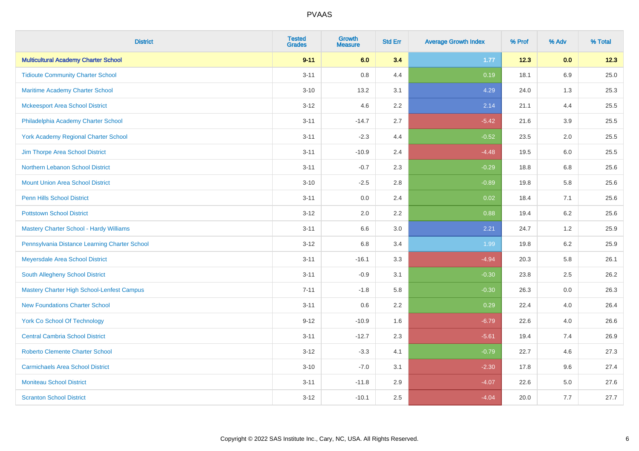| <b>District</b>                                   | <b>Tested</b><br><b>Grades</b> | <b>Growth</b><br><b>Measure</b> | <b>Std Err</b> | <b>Average Growth Index</b> | % Prof | % Adv   | % Total |
|---------------------------------------------------|--------------------------------|---------------------------------|----------------|-----------------------------|--------|---------|---------|
| <b>Multicultural Academy Charter School</b>       | $9 - 11$                       | 6.0                             | 3.4            | 1.77                        | 12.3   | 0.0     | 12.3    |
| <b>Tidioute Community Charter School</b>          | $3 - 11$                       | $0.8\,$                         | 4.4            | 0.19                        | 18.1   | 6.9     | 25.0    |
| Maritime Academy Charter School                   | $3 - 10$                       | 13.2                            | 3.1            | 4.29                        | 24.0   | 1.3     | 25.3    |
| <b>Mckeesport Area School District</b>            | $3 - 12$                       | 4.6                             | 2.2            | 2.14                        | 21.1   | 4.4     | 25.5    |
| Philadelphia Academy Charter School               | $3 - 11$                       | $-14.7$                         | 2.7            | $-5.42$                     | 21.6   | 3.9     | 25.5    |
| <b>York Academy Regional Charter School</b>       | $3 - 11$                       | $-2.3$                          | 4.4            | $-0.52$                     | 23.5   | 2.0     | 25.5    |
| Jim Thorpe Area School District                   | $3 - 11$                       | $-10.9$                         | 2.4            | $-4.48$                     | 19.5   | 6.0     | 25.5    |
| Northern Lebanon School District                  | $3 - 11$                       | $-0.7$                          | 2.3            | $-0.29$                     | 18.8   | 6.8     | 25.6    |
| <b>Mount Union Area School District</b>           | $3 - 10$                       | $-2.5$                          | 2.8            | $-0.89$                     | 19.8   | 5.8     | 25.6    |
| <b>Penn Hills School District</b>                 | $3 - 11$                       | 0.0                             | 2.4            | 0.02                        | 18.4   | 7.1     | 25.6    |
| <b>Pottstown School District</b>                  | $3 - 12$                       | 2.0                             | 2.2            | 0.88                        | 19.4   | 6.2     | 25.6    |
| Mastery Charter School - Hardy Williams           | $3 - 11$                       | 6.6                             | 3.0            | 2.21                        | 24.7   | 1.2     | 25.9    |
| Pennsylvania Distance Learning Charter School     | $3 - 12$                       | $6.8\,$                         | 3.4            | 1.99                        | 19.8   | $6.2\,$ | 25.9    |
| Meyersdale Area School District                   | $3 - 11$                       | $-16.1$                         | 3.3            | $-4.94$                     | 20.3   | 5.8     | 26.1    |
| South Allegheny School District                   | $3 - 11$                       | $-0.9$                          | 3.1            | $-0.30$                     | 23.8   | 2.5     | 26.2    |
| <b>Mastery Charter High School-Lenfest Campus</b> | $7 - 11$                       | $-1.8$                          | 5.8            | $-0.30$                     | 26.3   | $0.0\,$ | 26.3    |
| <b>New Foundations Charter School</b>             | $3 - 11$                       | 0.6                             | 2.2            | 0.29                        | 22.4   | 4.0     | 26.4    |
| <b>York Co School Of Technology</b>               | $9 - 12$                       | $-10.9$                         | 1.6            | $-6.79$                     | 22.6   | 4.0     | 26.6    |
| <b>Central Cambria School District</b>            | $3 - 11$                       | $-12.7$                         | 2.3            | $-5.61$                     | 19.4   | 7.4     | 26.9    |
| <b>Roberto Clemente Charter School</b>            | $3 - 12$                       | $-3.3$                          | 4.1            | $-0.79$                     | 22.7   | 4.6     | 27.3    |
| <b>Carmichaels Area School District</b>           | $3 - 10$                       | $-7.0$                          | 3.1            | $-2.30$                     | 17.8   | 9.6     | 27.4    |
| <b>Moniteau School District</b>                   | $3 - 11$                       | $-11.8$                         | 2.9            | $-4.07$                     | 22.6   | 5.0     | 27.6    |
| <b>Scranton School District</b>                   | $3 - 12$                       | $-10.1$                         | 2.5            | $-4.04$                     | 20.0   | 7.7     | 27.7    |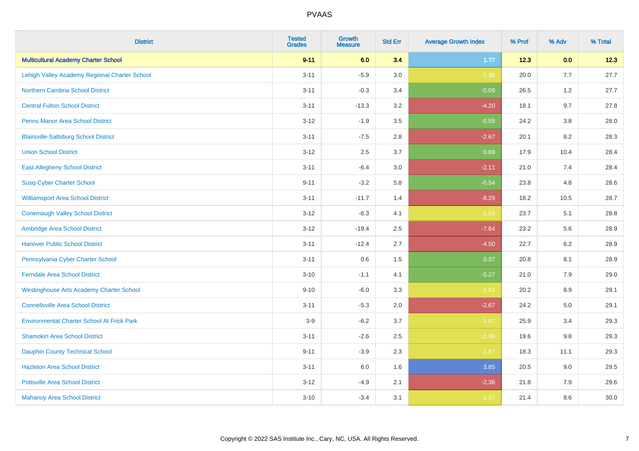| <b>District</b>                                   | <b>Tested</b><br><b>Grades</b> | <b>Growth</b><br><b>Measure</b> | <b>Std Err</b> | <b>Average Growth Index</b> | % Prof | % Adv   | % Total |
|---------------------------------------------------|--------------------------------|---------------------------------|----------------|-----------------------------|--------|---------|---------|
| <b>Multicultural Academy Charter School</b>       | $9 - 11$                       | 6.0                             | 3.4            | 1.77                        | 12.3   | 0.0     | 12.3    |
| Lehigh Valley Academy Regional Charter School     | $3 - 11$                       | $-5.9$                          | 3.0            | $-1.98$                     | 20.0   | 7.7     | 27.7    |
| <b>Northern Cambria School District</b>           | $3 - 11$                       | $-0.3$                          | 3.4            | $-0.09$                     | 26.5   | 1.2     | 27.7    |
| <b>Central Fulton School District</b>             | $3 - 11$                       | $-13.3$                         | 3.2            | $-4.20$                     | 18.1   | 9.7     | 27.8    |
| <b>Penns Manor Area School District</b>           | $3 - 12$                       | $-1.9$                          | 3.5            | $-0.55$                     | 24.2   | 3.8     | 28.0    |
| <b>Blairsville-Saltsburg School District</b>      | $3 - 11$                       | $-7.5$                          | 2.8            | $-2.67$                     | 20.1   | 8.2     | 28.3    |
| <b>Union School District</b>                      | $3 - 12$                       | 2.5                             | 3.7            | 0.69                        | 17.9   | 10.4    | 28.4    |
| <b>East Allegheny School District</b>             | $3 - 11$                       | $-6.4$                          | 3.0            | $-2.11$                     | 21.0   | 7.4     | 28.4    |
| <b>Susq-Cyber Charter School</b>                  | $9 - 11$                       | $-3.2$                          | 5.8            | $-0.54$                     | 23.8   | 4.8     | 28.6    |
| <b>Williamsport Area School District</b>          | $3 - 11$                       | $-11.7$                         | 1.4            | $-8.29$                     | 18.2   | 10.5    | 28.7    |
| <b>Conemaugh Valley School District</b>           | $3 - 12$                       | $-6.3$                          | 4.1            | $-1.54$                     | 23.7   | 5.1     | 28.8    |
| Ambridge Area School District                     | $3 - 12$                       | $-19.4$                         | 2.5            | $-7.64$                     | 23.2   | 5.6     | 28.9    |
| <b>Hanover Public School District</b>             | $3 - 11$                       | $-12.4$                         | 2.7            | $-4.50$                     | 22.7   | $6.2\,$ | 28.9    |
| Pennsylvania Cyber Charter School                 | $3 - 11$                       | 0.6                             | 1.5            | 0.37                        | 20.8   | 8.1     | 28.9    |
| <b>Ferndale Area School District</b>              | $3 - 10$                       | $-1.1$                          | 4.1            | $-0.27$                     | 21.0   | 7.9     | 29.0    |
| <b>Westinghouse Arts Academy Charter School</b>   | $9 - 10$                       | $-6.0$                          | 3.3            | $-1.81$                     | 20.2   | $8.9\,$ | 29.1    |
| <b>Connellsville Area School District</b>         | $3 - 11$                       | $-5.3$                          | 2.0            | $-2.67$                     | 24.2   | 5.0     | 29.1    |
| <b>Environmental Charter School At Frick Park</b> | $3-9$                          | $-6.2$                          | 3.7            | $-1.67$                     | 25.9   | 3.4     | 29.3    |
| <b>Shamokin Area School District</b>              | $3 - 11$                       | $-2.6$                          | 2.5            | $-1.06$                     | 19.6   | $9.8\,$ | 29.3    |
| <b>Dauphin County Technical School</b>            | $9 - 11$                       | $-3.9$                          | 2.3            | $-1.67$                     | 18.3   | 11.1    | 29.3    |
| <b>Hazleton Area School District</b>              | $3 - 11$                       | 6.0                             | 1.6            | 3.85                        | 20.5   | 9.0     | 29.5    |
| <b>Pottsville Area School District</b>            | $3 - 12$                       | $-4.9$                          | 2.1            | $-2.36$                     | 21.8   | 7.9     | 29.6    |
| <b>Mahanoy Area School District</b>               | $3 - 10$                       | $-3.4$                          | 3.1            | $-1.07$                     | 21.4   | 8.6     | 30.0    |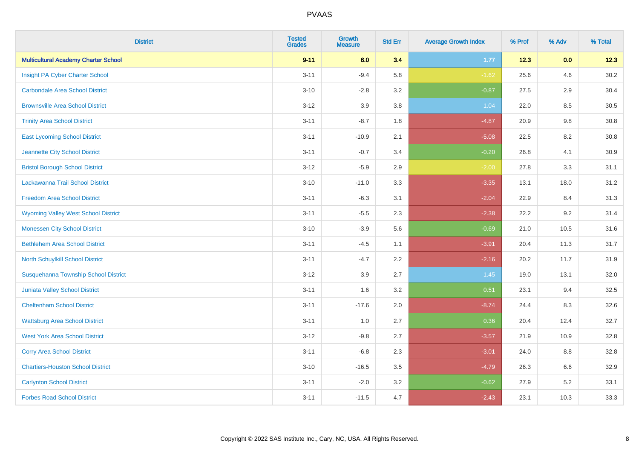| <b>District</b>                             | <b>Tested</b><br><b>Grades</b> | <b>Growth</b><br><b>Measure</b> | <b>Std Err</b> | <b>Average Growth Index</b> | % Prof | % Adv | % Total |
|---------------------------------------------|--------------------------------|---------------------------------|----------------|-----------------------------|--------|-------|---------|
| <b>Multicultural Academy Charter School</b> | $9 - 11$                       | 6.0                             | 3.4            | 1.77                        | 12.3   | 0.0   | 12.3    |
| Insight PA Cyber Charter School             | $3 - 11$                       | $-9.4$                          | 5.8            | $-1.62$                     | 25.6   | 4.6   | 30.2    |
| <b>Carbondale Area School District</b>      | $3 - 10$                       | $-2.8$                          | 3.2            | $-0.87$                     | 27.5   | 2.9   | 30.4    |
| <b>Brownsville Area School District</b>     | $3 - 12$                       | 3.9                             | 3.8            | 1.04                        | 22.0   | 8.5   | 30.5    |
| <b>Trinity Area School District</b>         | $3 - 11$                       | $-8.7$                          | 1.8            | $-4.87$                     | 20.9   | 9.8   | 30.8    |
| <b>East Lycoming School District</b>        | $3 - 11$                       | $-10.9$                         | 2.1            | $-5.08$                     | 22.5   | 8.2   | 30.8    |
| Jeannette City School District              | $3 - 11$                       | $-0.7$                          | 3.4            | $-0.20$                     | 26.8   | 4.1   | 30.9    |
| <b>Bristol Borough School District</b>      | $3 - 12$                       | $-5.9$                          | 2.9            | $-2.00$                     | 27.8   | 3.3   | 31.1    |
| Lackawanna Trail School District            | $3 - 10$                       | $-11.0$                         | 3.3            | $-3.35$                     | 13.1   | 18.0  | 31.2    |
| <b>Freedom Area School District</b>         | $3 - 11$                       | $-6.3$                          | 3.1            | $-2.04$                     | 22.9   | 8.4   | 31.3    |
| <b>Wyoming Valley West School District</b>  | $3 - 11$                       | $-5.5$                          | 2.3            | $-2.38$                     | 22.2   | 9.2   | 31.4    |
| <b>Monessen City School District</b>        | $3 - 10$                       | $-3.9$                          | 5.6            | $-0.69$                     | 21.0   | 10.5  | 31.6    |
| <b>Bethlehem Area School District</b>       | $3 - 11$                       | $-4.5$                          | 1.1            | $-3.91$                     | 20.4   | 11.3  | 31.7    |
| North Schuylkill School District            | $3 - 11$                       | $-4.7$                          | 2.2            | $-2.16$                     | 20.2   | 11.7  | 31.9    |
| Susquehanna Township School District        | $3 - 12$                       | 3.9                             | 2.7            | 1.45                        | 19.0   | 13.1  | 32.0    |
| <b>Juniata Valley School District</b>       | $3 - 11$                       | 1.6                             | 3.2            | 0.51                        | 23.1   | 9.4   | 32.5    |
| <b>Cheltenham School District</b>           | $3 - 11$                       | $-17.6$                         | 2.0            | $-8.74$                     | 24.4   | 8.3   | 32.6    |
| <b>Wattsburg Area School District</b>       | $3 - 11$                       | 1.0                             | 2.7            | 0.36                        | 20.4   | 12.4  | 32.7    |
| <b>West York Area School District</b>       | $3 - 12$                       | $-9.8$                          | 2.7            | $-3.57$                     | 21.9   | 10.9  | 32.8    |
| <b>Corry Area School District</b>           | $3 - 11$                       | $-6.8$                          | 2.3            | $-3.01$                     | 24.0   | 8.8   | 32.8    |
| <b>Chartiers-Houston School District</b>    | $3 - 10$                       | $-16.5$                         | 3.5            | $-4.79$                     | 26.3   | 6.6   | 32.9    |
| <b>Carlynton School District</b>            | $3 - 11$                       | $-2.0$                          | 3.2            | $-0.62$                     | 27.9   | 5.2   | 33.1    |
| <b>Forbes Road School District</b>          | $3 - 11$                       | $-11.5$                         | 4.7            | $-2.43$                     | 23.1   | 10.3  | 33.3    |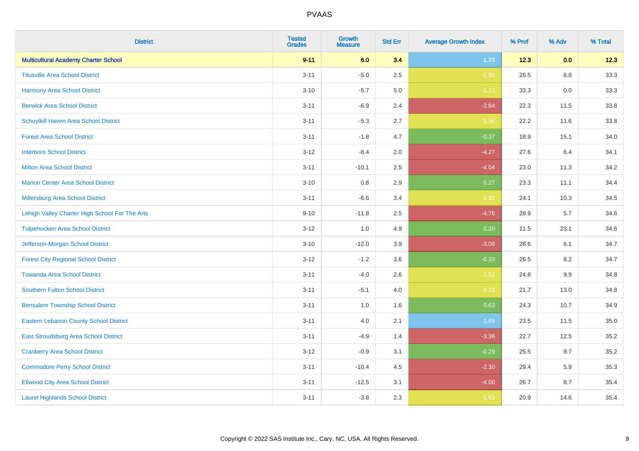| <b>District</b>                                | <b>Tested</b><br><b>Grades</b> | <b>Growth</b><br><b>Measure</b> | <b>Std Err</b> | <b>Average Growth Index</b> | % Prof | % Adv   | % Total |
|------------------------------------------------|--------------------------------|---------------------------------|----------------|-----------------------------|--------|---------|---------|
| <b>Multicultural Academy Charter School</b>    | $9 - 11$                       | 6.0                             | 3.4            | 1.77                        | 12.3   | 0.0     | 12.3    |
| <b>Titusville Area School District</b>         | $3 - 11$                       | $-5.0$                          | 2.5            | $-1.98$                     | 26.5   | $6.8\,$ | 33.3    |
| <b>Harmony Area School District</b>            | $3 - 10$                       | $-5.7$                          | 5.0            | $-1.13$                     | 33.3   | 0.0     | 33.3    |
| <b>Berwick Area School District</b>            | $3 - 11$                       | $-6.9$                          | 2.4            | $-2.84$                     | 22.3   | 11.5    | 33.8    |
| Schuylkill Haven Area School District          | $3 - 11$                       | $-5.3$                          | 2.7            | $-1.96$                     | 22.2   | 11.6    | 33.8    |
| <b>Forest Area School District</b>             | $3 - 11$                       | $-1.8$                          | 4.7            | $-0.37$                     | 18.9   | 15.1    | 34.0    |
| <b>Interboro School District</b>               | $3 - 12$                       | $-8.4$                          | 2.0            | $-4.27$                     | 27.6   | 6.4     | 34.1    |
| <b>Milton Area School District</b>             | $3 - 11$                       | $-10.1$                         | 2.5            | $-4.04$                     | 23.0   | 11.3    | 34.2    |
| <b>Marion Center Area School District</b>      | $3 - 10$                       | 0.8                             | 2.9            | 0.27                        | 23.3   | 11.1    | 34.4    |
| Millersburg Area School District               | $3 - 11$                       | $-6.6$                          | 3.4            | $-1.92$                     | 24.1   | 10.3    | 34.5    |
| Lehigh Valley Charter High School For The Arts | $9 - 10$                       | $-11.8$                         | 2.5            | $-4.76$                     | 28.9   | 5.7     | 34.6    |
| <b>Tulpehocken Area School District</b>        | $3 - 12$                       | 1.0                             | 4.9            | 0.20                        | 11.5   | 23.1    | 34.6    |
| Jefferson-Morgan School District               | $3 - 10$                       | $-12.0$                         | 3.9            | $-3.09$                     | 28.6   | 6.1     | 34.7    |
| <b>Forest City Regional School District</b>    | $3 - 12$                       | $-1.2$                          | 3.6            | $-0.33$                     | 26.5   | 8.2     | 34.7    |
| <b>Towanda Area School District</b>            | $3 - 11$                       | $-4.0$                          | 2.6            | $-1.52$                     | 24.8   | $9.9\,$ | 34.8    |
| Southern Fulton School District                | $3 - 11$                       | $-5.1$                          | 4.0            | $-1.29$                     | 21.7   | 13.0    | 34.8    |
| <b>Bensalem Township School District</b>       | $3 - 11$                       | 1.0                             | 1.6            | 0.63                        | 24.3   | 10.7    | 34.9    |
| <b>Eastern Lebanon County School District</b>  | $3 - 11$                       | 4.0                             | 2.1            | 1.89                        | 23.5   | 11.5    | 35.0    |
| East Stroudsburg Area School District          | $3 - 11$                       | $-4.9$                          | 1.4            | $-3.38$                     | 22.7   | 12.5    | 35.2    |
| <b>Cranberry Area School District</b>          | $3 - 12$                       | $-0.9$                          | 3.1            | $-0.29$                     | 25.5   | 9.7     | 35.2    |
| <b>Commodore Perry School District</b>         | $3 - 11$                       | $-10.4$                         | 4.5            | $-2.30$                     | 29.4   | 5.9     | 35.3    |
| <b>Ellwood City Area School District</b>       | $3 - 11$                       | $-12.5$                         | 3.1            | $-4.00$                     | 26.7   | 8.7     | 35.4    |
| <b>Laurel Highlands School District</b>        | $3 - 11$                       | $-3.8$                          | 2.3            | $-1.63$                     | 20.9   | 14.6    | 35.4    |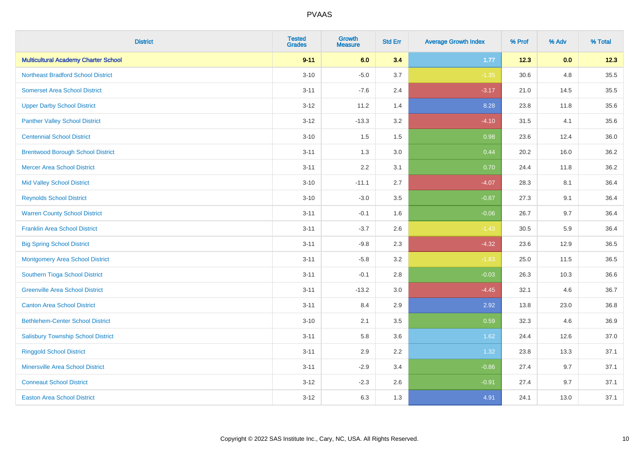| <b>District</b>                             | <b>Tested</b><br><b>Grades</b> | <b>Growth</b><br><b>Measure</b> | <b>Std Err</b> | <b>Average Growth Index</b> | % Prof | % Adv | % Total |
|---------------------------------------------|--------------------------------|---------------------------------|----------------|-----------------------------|--------|-------|---------|
| <b>Multicultural Academy Charter School</b> | $9 - 11$                       | 6.0                             | 3.4            | 1.77                        | 12.3   | 0.0   | 12.3    |
| <b>Northeast Bradford School District</b>   | $3 - 10$                       | $-5.0$                          | 3.7            | $-1.35$                     | 30.6   | 4.8   | 35.5    |
| <b>Somerset Area School District</b>        | $3 - 11$                       | $-7.6$                          | 2.4            | $-3.17$                     | 21.0   | 14.5  | 35.5    |
| <b>Upper Darby School District</b>          | $3 - 12$                       | 11.2                            | 1.4            | 8.28                        | 23.8   | 11.8  | 35.6    |
| <b>Panther Valley School District</b>       | $3-12$                         | $-13.3$                         | 3.2            | $-4.10$                     | 31.5   | 4.1   | 35.6    |
| <b>Centennial School District</b>           | $3 - 10$                       | 1.5                             | 1.5            | 0.98                        | 23.6   | 12.4  | 36.0    |
| <b>Brentwood Borough School District</b>    | $3 - 11$                       | 1.3                             | 3.0            | 0.44                        | 20.2   | 16.0  | 36.2    |
| <b>Mercer Area School District</b>          | $3 - 11$                       | 2.2                             | 3.1            | 0.70                        | 24.4   | 11.8  | 36.2    |
| <b>Mid Valley School District</b>           | $3 - 10$                       | $-11.1$                         | 2.7            | $-4.07$                     | 28.3   | 8.1   | 36.4    |
| <b>Reynolds School District</b>             | $3 - 10$                       | $-3.0$                          | 3.5            | $-0.87$                     | 27.3   | 9.1   | 36.4    |
| <b>Warren County School District</b>        | $3 - 11$                       | $-0.1$                          | 1.6            | $-0.06$                     | 26.7   | 9.7   | 36.4    |
| <b>Franklin Area School District</b>        | $3 - 11$                       | $-3.7$                          | 2.6            | $-1.43$                     | 30.5   | 5.9   | 36.4    |
| <b>Big Spring School District</b>           | $3 - 11$                       | $-9.8$                          | 2.3            | $-4.32$                     | 23.6   | 12.9  | 36.5    |
| <b>Montgomery Area School District</b>      | $3 - 11$                       | $-5.8$                          | 3.2            | $-1.83$                     | 25.0   | 11.5  | 36.5    |
| Southern Tioga School District              | $3 - 11$                       | $-0.1$                          | 2.8            | $-0.03$                     | 26.3   | 10.3  | 36.6    |
| <b>Greenville Area School District</b>      | $3 - 11$                       | $-13.2$                         | 3.0            | $-4.45$                     | 32.1   | 4.6   | 36.7    |
| <b>Canton Area School District</b>          | $3 - 11$                       | 8.4                             | 2.9            | 2.92                        | 13.8   | 23.0  | 36.8    |
| <b>Bethlehem-Center School District</b>     | $3 - 10$                       | 2.1                             | 3.5            | 0.59                        | 32.3   | 4.6   | 36.9    |
| <b>Salisbury Township School District</b>   | $3 - 11$                       | 5.8                             | 3.6            | 1.62                        | 24.4   | 12.6  | 37.0    |
| <b>Ringgold School District</b>             | $3 - 11$                       | 2.9                             | 2.2            | 1.32                        | 23.8   | 13.3  | 37.1    |
| <b>Minersville Area School District</b>     | $3 - 11$                       | $-2.9$                          | 3.4            | $-0.86$                     | 27.4   | 9.7   | 37.1    |
| <b>Conneaut School District</b>             | $3-12$                         | $-2.3$                          | 2.6            | $-0.91$                     | 27.4   | 9.7   | 37.1    |
| <b>Easton Area School District</b>          | $3 - 12$                       | 6.3                             | 1.3            | 4.91                        | 24.1   | 13.0  | 37.1    |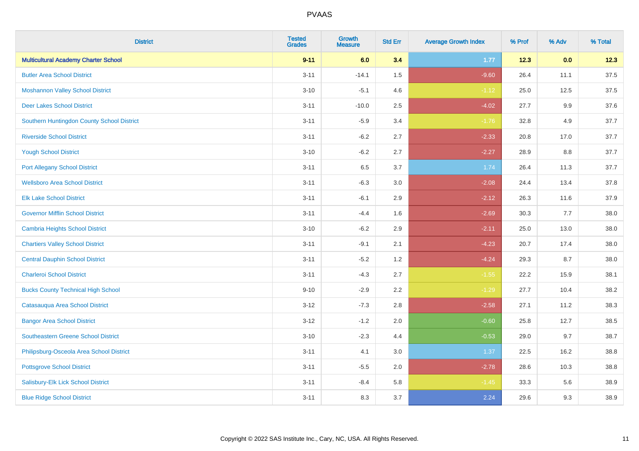| <b>District</b>                             | <b>Tested</b><br><b>Grades</b> | <b>Growth</b><br><b>Measure</b> | <b>Std Err</b> | <b>Average Growth Index</b> | % Prof | % Adv   | % Total |
|---------------------------------------------|--------------------------------|---------------------------------|----------------|-----------------------------|--------|---------|---------|
| <b>Multicultural Academy Charter School</b> | $9 - 11$                       | 6.0                             | 3.4            | 1.77                        | 12.3   | 0.0     | 12.3    |
| <b>Butler Area School District</b>          | $3 - 11$                       | $-14.1$                         | $1.5\,$        | $-9.60$                     | 26.4   | 11.1    | 37.5    |
| <b>Moshannon Valley School District</b>     | $3 - 10$                       | $-5.1$                          | 4.6            | $-1.12$                     | 25.0   | 12.5    | 37.5    |
| <b>Deer Lakes School District</b>           | $3 - 11$                       | $-10.0$                         | 2.5            | $-4.02$                     | 27.7   | $9.9\,$ | 37.6    |
| Southern Huntingdon County School District  | $3 - 11$                       | $-5.9$                          | 3.4            | $-1.76$                     | 32.8   | 4.9     | 37.7    |
| <b>Riverside School District</b>            | $3 - 11$                       | $-6.2$                          | 2.7            | $-2.33$                     | 20.8   | 17.0    | 37.7    |
| <b>Yough School District</b>                | $3 - 10$                       | $-6.2$                          | 2.7            | $-2.27$                     | 28.9   | 8.8     | 37.7    |
| <b>Port Allegany School District</b>        | $3 - 11$                       | 6.5                             | 3.7            | 1.74                        | 26.4   | 11.3    | 37.7    |
| <b>Wellsboro Area School District</b>       | $3 - 11$                       | $-6.3$                          | 3.0            | $-2.08$                     | 24.4   | 13.4    | 37.8    |
| <b>Elk Lake School District</b>             | $3 - 11$                       | $-6.1$                          | 2.9            | $-2.12$                     | 26.3   | 11.6    | 37.9    |
| <b>Governor Mifflin School District</b>     | $3 - 11$                       | $-4.4$                          | 1.6            | $-2.69$                     | 30.3   | 7.7     | 38.0    |
| <b>Cambria Heights School District</b>      | $3 - 10$                       | $-6.2$                          | 2.9            | $-2.11$                     | 25.0   | 13.0    | 38.0    |
| <b>Chartiers Valley School District</b>     | $3 - 11$                       | $-9.1$                          | 2.1            | $-4.23$                     | 20.7   | 17.4    | 38.0    |
| <b>Central Dauphin School District</b>      | $3 - 11$                       | $-5.2$                          | 1.2            | $-4.24$                     | 29.3   | 8.7     | 38.0    |
| <b>Charleroi School District</b>            | $3 - 11$                       | $-4.3$                          | 2.7            | $-1.55$                     | 22.2   | 15.9    | 38.1    |
| <b>Bucks County Technical High School</b>   | $9 - 10$                       | $-2.9$                          | 2.2            | $-1.29$                     | 27.7   | 10.4    | 38.2    |
| Catasauqua Area School District             | $3 - 12$                       | $-7.3$                          | 2.8            | $-2.58$                     | 27.1   | 11.2    | 38.3    |
| <b>Bangor Area School District</b>          | $3 - 12$                       | $-1.2$                          | 2.0            | $-0.60$                     | 25.8   | 12.7    | 38.5    |
| <b>Southeastern Greene School District</b>  | $3 - 10$                       | $-2.3$                          | 4.4            | $-0.53$                     | 29.0   | 9.7     | 38.7    |
| Philipsburg-Osceola Area School District    | $3 - 11$                       | 4.1                             | 3.0            | 1.37                        | 22.5   | 16.2    | 38.8    |
| <b>Pottsgrove School District</b>           | $3 - 11$                       | $-5.5$                          | 2.0            | $-2.78$                     | 28.6   | 10.3    | 38.8    |
| Salisbury-Elk Lick School District          | $3 - 11$                       | $-8.4$                          | 5.8            | $-1.45$                     | 33.3   | 5.6     | 38.9    |
| <b>Blue Ridge School District</b>           | $3 - 11$                       | 8.3                             | 3.7            | 2.24                        | 29.6   | 9.3     | 38.9    |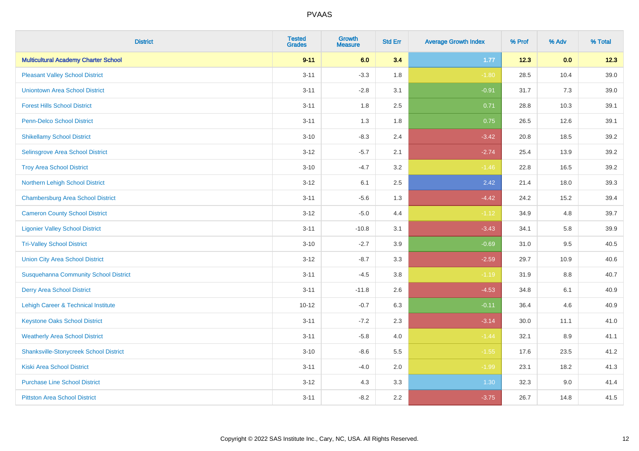| <b>District</b>                               | <b>Tested</b><br><b>Grades</b> | <b>Growth</b><br><b>Measure</b> | <b>Std Err</b> | <b>Average Growth Index</b> | % Prof | % Adv   | % Total |
|-----------------------------------------------|--------------------------------|---------------------------------|----------------|-----------------------------|--------|---------|---------|
| <b>Multicultural Academy Charter School</b>   | $9 - 11$                       | 6.0                             | 3.4            | 1.77                        | 12.3   | 0.0     | 12.3    |
| <b>Pleasant Valley School District</b>        | $3 - 11$                       | $-3.3$                          | 1.8            | $-1.80$                     | 28.5   | 10.4    | 39.0    |
| <b>Uniontown Area School District</b>         | $3 - 11$                       | $-2.8$                          | 3.1            | $-0.91$                     | 31.7   | 7.3     | 39.0    |
| <b>Forest Hills School District</b>           | $3 - 11$                       | 1.8                             | 2.5            | 0.71                        | 28.8   | 10.3    | 39.1    |
| <b>Penn-Delco School District</b>             | $3 - 11$                       | 1.3                             | 1.8            | 0.75                        | 26.5   | 12.6    | 39.1    |
| <b>Shikellamy School District</b>             | $3 - 10$                       | $-8.3$                          | 2.4            | $-3.42$                     | 20.8   | 18.5    | 39.2    |
| Selinsgrove Area School District              | $3 - 12$                       | $-5.7$                          | 2.1            | $-2.74$                     | 25.4   | 13.9    | 39.2    |
| <b>Troy Area School District</b>              | $3 - 10$                       | $-4.7$                          | 3.2            | $-1.46$                     | 22.8   | 16.5    | 39.2    |
| Northern Lehigh School District               | $3 - 12$                       | 6.1                             | 2.5            | 2.42                        | 21.4   | 18.0    | 39.3    |
| <b>Chambersburg Area School District</b>      | $3 - 11$                       | $-5.6$                          | 1.3            | $-4.42$                     | 24.2   | 15.2    | 39.4    |
| <b>Cameron County School District</b>         | $3 - 12$                       | $-5.0$                          | 4.4            | $-1.12$                     | 34.9   | 4.8     | 39.7    |
| <b>Ligonier Valley School District</b>        | $3 - 11$                       | $-10.8$                         | 3.1            | $-3.43$                     | 34.1   | 5.8     | 39.9    |
| <b>Tri-Valley School District</b>             | $3 - 10$                       | $-2.7$                          | 3.9            | $-0.69$                     | 31.0   | 9.5     | 40.5    |
| <b>Union City Area School District</b>        | $3 - 12$                       | $-8.7$                          | 3.3            | $-2.59$                     | 29.7   | 10.9    | 40.6    |
| <b>Susquehanna Community School District</b>  | $3 - 11$                       | $-4.5$                          | 3.8            | $-1.19$                     | 31.9   | 8.8     | 40.7    |
| <b>Derry Area School District</b>             | $3 - 11$                       | $-11.8$                         | 2.6            | $-4.53$                     | 34.8   | 6.1     | 40.9    |
| Lehigh Career & Technical Institute           | $10 - 12$                      | $-0.7$                          | 6.3            | $-0.11$                     | 36.4   | 4.6     | 40.9    |
| <b>Keystone Oaks School District</b>          | $3 - 11$                       | $-7.2$                          | 2.3            | $-3.14$                     | 30.0   | 11.1    | 41.0    |
| <b>Weatherly Area School District</b>         | $3 - 11$                       | $-5.8$                          | 4.0            | $-1.44$                     | 32.1   | $8.9\,$ | 41.1    |
| <b>Shanksville-Stonycreek School District</b> | $3 - 10$                       | $-8.6$                          | 5.5            | $-1.55$                     | 17.6   | 23.5    | 41.2    |
| <b>Kiski Area School District</b>             | $3 - 11$                       | $-4.0$                          | 2.0            | $-1.99$                     | 23.1   | 18.2    | 41.3    |
| <b>Purchase Line School District</b>          | $3-12$                         | 4.3                             | 3.3            | 1.30                        | 32.3   | 9.0     | 41.4    |
| <b>Pittston Area School District</b>          | $3 - 11$                       | $-8.2$                          | 2.2            | $-3.75$                     | 26.7   | 14.8    | 41.5    |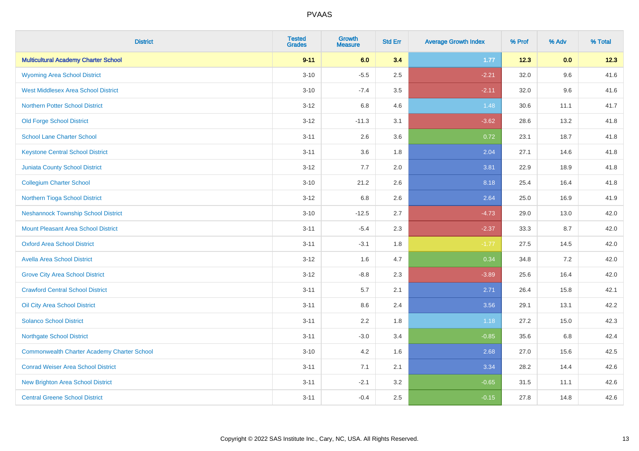| <b>District</b>                                    | <b>Tested</b><br><b>Grades</b> | <b>Growth</b><br><b>Measure</b> | <b>Std Err</b> | <b>Average Growth Index</b> | % Prof | % Adv | % Total |
|----------------------------------------------------|--------------------------------|---------------------------------|----------------|-----------------------------|--------|-------|---------|
| <b>Multicultural Academy Charter School</b>        | $9 - 11$                       | 6.0                             | 3.4            | 1.77                        | 12.3   | 0.0   | 12.3    |
| <b>Wyoming Area School District</b>                | $3 - 10$                       | $-5.5$                          | 2.5            | $-2.21$                     | 32.0   | 9.6   | 41.6    |
| <b>West Middlesex Area School District</b>         | $3 - 10$                       | $-7.4$                          | 3.5            | $-2.11$                     | 32.0   | 9.6   | 41.6    |
| <b>Northern Potter School District</b>             | $3 - 12$                       | 6.8                             | 4.6            | 1.48                        | 30.6   | 11.1  | 41.7    |
| <b>Old Forge School District</b>                   | $3 - 12$                       | $-11.3$                         | 3.1            | $-3.62$                     | 28.6   | 13.2  | 41.8    |
| <b>School Lane Charter School</b>                  | $3 - 11$                       | 2.6                             | 3.6            | 0.72                        | 23.1   | 18.7  | 41.8    |
| <b>Keystone Central School District</b>            | $3 - 11$                       | 3.6                             | 1.8            | 2.04                        | 27.1   | 14.6  | 41.8    |
| <b>Juniata County School District</b>              | $3 - 12$                       | 7.7                             | 2.0            | 3.81                        | 22.9   | 18.9  | 41.8    |
| <b>Collegium Charter School</b>                    | $3 - 10$                       | 21.2                            | 2.6            | 8.18                        | 25.4   | 16.4  | 41.8    |
| Northern Tioga School District                     | $3 - 12$                       | 6.8                             | 2.6            | 2.64                        | 25.0   | 16.9  | 41.9    |
| <b>Neshannock Township School District</b>         | $3 - 10$                       | $-12.5$                         | 2.7            | $-4.73$                     | 29.0   | 13.0  | 42.0    |
| Mount Pleasant Area School District                | $3 - 11$                       | $-5.4$                          | 2.3            | $-2.37$                     | 33.3   | 8.7   | 42.0    |
| <b>Oxford Area School District</b>                 | $3 - 11$                       | $-3.1$                          | 1.8            | $-1.77$                     | 27.5   | 14.5  | 42.0    |
| <b>Avella Area School District</b>                 | $3 - 12$                       | 1.6                             | 4.7            | 0.34                        | 34.8   | 7.2   | 42.0    |
| <b>Grove City Area School District</b>             | $3 - 12$                       | $-8.8$                          | 2.3            | $-3.89$                     | 25.6   | 16.4  | 42.0    |
| <b>Crawford Central School District</b>            | $3 - 11$                       | 5.7                             | 2.1            | 2.71                        | 26.4   | 15.8  | 42.1    |
| <b>Oil City Area School District</b>               | $3 - 11$                       | 8.6                             | 2.4            | 3.56                        | 29.1   | 13.1  | 42.2    |
| <b>Solanco School District</b>                     | $3 - 11$                       | 2.2                             | 1.8            | 1.18                        | 27.2   | 15.0  | 42.3    |
| <b>Northgate School District</b>                   | $3 - 11$                       | $-3.0$                          | 3.4            | $-0.85$                     | 35.6   | 6.8   | 42.4    |
| <b>Commonwealth Charter Academy Charter School</b> | $3 - 10$                       | 4.2                             | 1.6            | 2.68                        | 27.0   | 15.6  | 42.5    |
| <b>Conrad Weiser Area School District</b>          | $3 - 11$                       | 7.1                             | 2.1            | 3.34                        | 28.2   | 14.4  | 42.6    |
| <b>New Brighton Area School District</b>           | $3 - 11$                       | $-2.1$                          | 3.2            | $-0.65$                     | 31.5   | 11.1  | 42.6    |
| <b>Central Greene School District</b>              | $3 - 11$                       | $-0.4$                          | 2.5            | $-0.15$                     | 27.8   | 14.8  | 42.6    |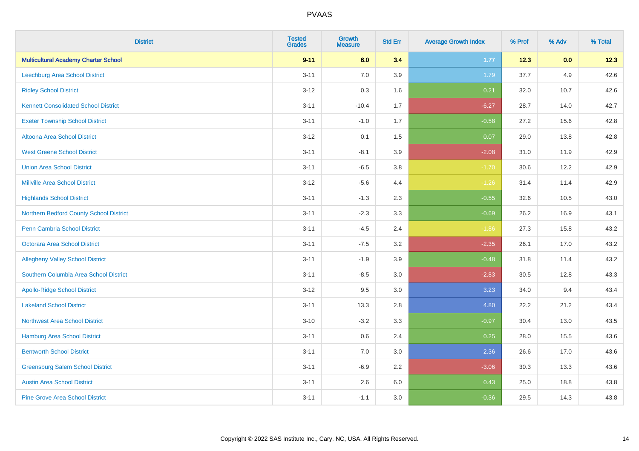| <b>District</b>                             | <b>Tested</b><br><b>Grades</b> | <b>Growth</b><br><b>Measure</b> | <b>Std Err</b> | <b>Average Growth Index</b> | % Prof | % Adv | % Total |
|---------------------------------------------|--------------------------------|---------------------------------|----------------|-----------------------------|--------|-------|---------|
| <b>Multicultural Academy Charter School</b> | $9 - 11$                       | 6.0                             | 3.4            | 1.77                        | 12.3   | 0.0   | 12.3    |
| <b>Leechburg Area School District</b>       | $3 - 11$                       | 7.0                             | 3.9            | 1.79                        | 37.7   | 4.9   | 42.6    |
| <b>Ridley School District</b>               | $3 - 12$                       | 0.3                             | 1.6            | 0.21                        | 32.0   | 10.7  | 42.6    |
| <b>Kennett Consolidated School District</b> | $3 - 11$                       | $-10.4$                         | 1.7            | $-6.27$                     | 28.7   | 14.0  | 42.7    |
| <b>Exeter Township School District</b>      | $3 - 11$                       | $-1.0$                          | 1.7            | $-0.58$                     | 27.2   | 15.6  | 42.8    |
| Altoona Area School District                | $3 - 12$                       | 0.1                             | 1.5            | 0.07                        | 29.0   | 13.8  | 42.8    |
| <b>West Greene School District</b>          | $3 - 11$                       | $-8.1$                          | 3.9            | $-2.08$                     | 31.0   | 11.9  | 42.9    |
| <b>Union Area School District</b>           | $3 - 11$                       | $-6.5$                          | 3.8            | $-1.70$                     | 30.6   | 12.2  | 42.9    |
| <b>Millville Area School District</b>       | $3 - 12$                       | $-5.6$                          | 4.4            | $-1.26$                     | 31.4   | 11.4  | 42.9    |
| <b>Highlands School District</b>            | $3 - 11$                       | $-1.3$                          | 2.3            | $-0.55$                     | 32.6   | 10.5  | 43.0    |
| Northern Bedford County School District     | $3 - 11$                       | $-2.3$                          | 3.3            | $-0.69$                     | 26.2   | 16.9  | 43.1    |
| <b>Penn Cambria School District</b>         | $3 - 11$                       | $-4.5$                          | 2.4            | $-1.86$                     | 27.3   | 15.8  | 43.2    |
| <b>Octorara Area School District</b>        | $3 - 11$                       | $-7.5$                          | 3.2            | $-2.35$                     | 26.1   | 17.0  | 43.2    |
| <b>Allegheny Valley School District</b>     | $3 - 11$                       | $-1.9$                          | 3.9            | $-0.48$                     | 31.8   | 11.4  | 43.2    |
| Southern Columbia Area School District      | $3 - 11$                       | $-8.5$                          | 3.0            | $-2.83$                     | 30.5   | 12.8  | 43.3    |
| <b>Apollo-Ridge School District</b>         | $3 - 12$                       | 9.5                             | 3.0            | 3.23                        | 34.0   | 9.4   | 43.4    |
| <b>Lakeland School District</b>             | $3 - 11$                       | 13.3                            | 2.8            | 4.80                        | 22.2   | 21.2  | 43.4    |
| <b>Northwest Area School District</b>       | $3 - 10$                       | $-3.2$                          | 3.3            | $-0.97$                     | 30.4   | 13.0  | 43.5    |
| <b>Hamburg Area School District</b>         | $3 - 11$                       | 0.6                             | 2.4            | 0.25                        | 28.0   | 15.5  | 43.6    |
| <b>Bentworth School District</b>            | $3 - 11$                       | 7.0                             | 3.0            | 2.36                        | 26.6   | 17.0  | 43.6    |
| <b>Greensburg Salem School District</b>     | $3 - 11$                       | $-6.9$                          | 2.2            | $-3.06$                     | 30.3   | 13.3  | 43.6    |
| <b>Austin Area School District</b>          | $3 - 11$                       | 2.6                             | 6.0            | 0.43                        | 25.0   | 18.8  | 43.8    |
| <b>Pine Grove Area School District</b>      | $3 - 11$                       | $-1.1$                          | 3.0            | $-0.36$                     | 29.5   | 14.3  | 43.8    |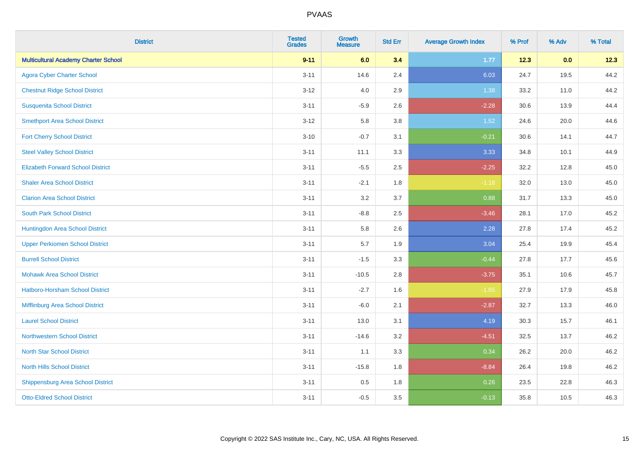| <b>District</b>                             | <b>Tested</b><br><b>Grades</b> | Growth<br>Measure | <b>Std Err</b> | <b>Average Growth Index</b> | % Prof | % Adv | % Total |
|---------------------------------------------|--------------------------------|-------------------|----------------|-----------------------------|--------|-------|---------|
| <b>Multicultural Academy Charter School</b> | $9 - 11$                       | 6.0               | 3.4            | 1.77                        | 12.3   | 0.0   | 12.3    |
| <b>Agora Cyber Charter School</b>           | $3 - 11$                       | 14.6              | 2.4            | 6.03                        | 24.7   | 19.5  | 44.2    |
| <b>Chestnut Ridge School District</b>       | $3 - 12$                       | 4.0               | 2.9            | 1.38                        | 33.2   | 11.0  | 44.2    |
| <b>Susquenita School District</b>           | $3 - 11$                       | $-5.9$            | 2.6            | $-2.28$                     | 30.6   | 13.9  | 44.4    |
| <b>Smethport Area School District</b>       | $3 - 12$                       | 5.8               | 3.8            | 1.52                        | 24.6   | 20.0  | 44.6    |
| <b>Fort Cherry School District</b>          | $3 - 10$                       | $-0.7$            | 3.1            | $-0.21$                     | 30.6   | 14.1  | 44.7    |
| <b>Steel Valley School District</b>         | $3 - 11$                       | 11.1              | 3.3            | 3.33                        | 34.8   | 10.1  | 44.9    |
| <b>Elizabeth Forward School District</b>    | $3 - 11$                       | $-5.5$            | 2.5            | $-2.25$                     | 32.2   | 12.8  | 45.0    |
| <b>Shaler Area School District</b>          | $3 - 11$                       | $-2.1$            | 1.8            | $-1.18$                     | 32.0   | 13.0  | 45.0    |
| <b>Clarion Area School District</b>         | $3 - 11$                       | 3.2               | 3.7            | 0.88                        | 31.7   | 13.3  | 45.0    |
| <b>South Park School District</b>           | $3 - 11$                       | $-8.8$            | 2.5            | $-3.46$                     | 28.1   | 17.0  | 45.2    |
| Huntingdon Area School District             | $3 - 11$                       | 5.8               | 2.6            | 2.28                        | 27.8   | 17.4  | 45.2    |
| <b>Upper Perkiomen School District</b>      | $3 - 11$                       | 5.7               | 1.9            | 3.04                        | 25.4   | 19.9  | 45.4    |
| <b>Burrell School District</b>              | $3 - 11$                       | $-1.5$            | 3.3            | $-0.44$                     | 27.8   | 17.7  | 45.6    |
| <b>Mohawk Area School District</b>          | $3 - 11$                       | $-10.5$           | 2.8            | $-3.75$                     | 35.1   | 10.6  | 45.7    |
| <b>Hatboro-Horsham School District</b>      | $3 - 11$                       | $-2.7$            | 1.6            | $-1.65$                     | 27.9   | 17.9  | 45.8    |
| Mifflinburg Area School District            | $3 - 11$                       | $-6.0$            | 2.1            | $-2.87$                     | 32.7   | 13.3  | 46.0    |
| <b>Laurel School District</b>               | $3 - 11$                       | 13.0              | 3.1            | 4.19                        | 30.3   | 15.7  | 46.1    |
| <b>Northwestern School District</b>         | $3 - 11$                       | $-14.6$           | 3.2            | $-4.51$                     | 32.5   | 13.7  | 46.2    |
| <b>North Star School District</b>           | $3 - 11$                       | 1.1               | 3.3            | 0.34                        | 26.2   | 20.0  | 46.2    |
| <b>North Hills School District</b>          | $3 - 11$                       | $-15.8$           | 1.8            | $-8.84$                     | 26.4   | 19.8  | 46.2    |
| <b>Shippensburg Area School District</b>    | $3 - 11$                       | 0.5               | 1.8            | 0.26                        | 23.5   | 22.8  | 46.3    |
| <b>Otto-Eldred School District</b>          | $3 - 11$                       | $-0.5$            | 3.5            | $-0.13$                     | 35.8   | 10.5  | 46.3    |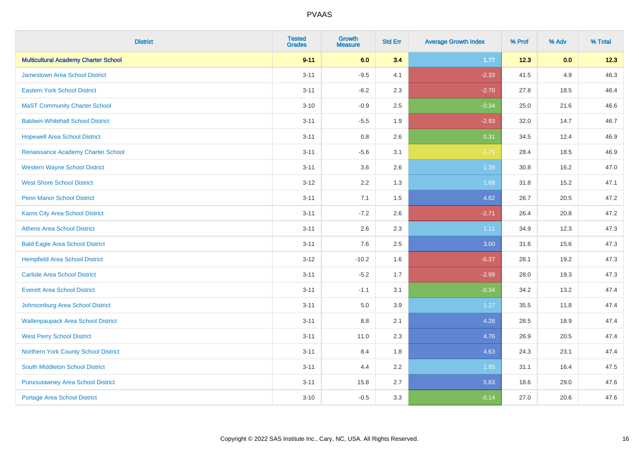| <b>District</b>                             | <b>Tested</b><br><b>Grades</b> | <b>Growth</b><br><b>Measure</b> | <b>Std Err</b> | <b>Average Growth Index</b> | % Prof | % Adv | % Total |
|---------------------------------------------|--------------------------------|---------------------------------|----------------|-----------------------------|--------|-------|---------|
| <b>Multicultural Academy Charter School</b> | $9 - 11$                       | 6.0                             | 3.4            | 1.77                        | 12.3   | 0.0   | 12.3    |
| <b>Jamestown Area School District</b>       | $3 - 11$                       | $-9.5$                          | 4.1            | $-2.33$                     | 41.5   | 4.9   | 46.3    |
| <b>Eastern York School District</b>         | $3 - 11$                       | $-6.2$                          | 2.3            | $-2.70$                     | 27.8   | 18.5  | 46.4    |
| <b>MaST Community Charter School</b>        | $3 - 10$                       | $-0.9$                          | 2.5            | $-0.34$                     | 25.0   | 21.6  | 46.6    |
| <b>Baldwin-Whitehall School District</b>    | $3 - 11$                       | $-5.5$                          | 1.9            | $-2.93$                     | 32.0   | 14.7  | 46.7    |
| <b>Hopewell Area School District</b>        | $3 - 11$                       | 0.8                             | 2.6            | 0.31                        | 34.5   | 12.4  | 46.9    |
| Renaissance Academy Charter School          | $3 - 11$                       | $-5.6$                          | 3.1            | $-1.79$                     | 28.4   | 18.5  | 46.9    |
| <b>Western Wayne School District</b>        | $3 - 11$                       | 3.6                             | 2.6            | 1.39                        | 30.8   | 16.2  | 47.0    |
| <b>West Shore School District</b>           | $3 - 12$                       | 2.2                             | 1.3            | 1.68                        | 31.8   | 15.2  | 47.1    |
| Penn Manor School District                  | $3 - 11$                       | 7.1                             | 1.5            | 4.82                        | 26.7   | 20.5  | 47.2    |
| Karns City Area School District             | $3 - 11$                       | $-7.2$                          | 2.6            | $-2.71$                     | 26.4   | 20.8  | 47.2    |
| <b>Athens Area School District</b>          | $3 - 11$                       | 2.6                             | 2.3            | 1.11                        | 34.9   | 12.3  | 47.3    |
| <b>Bald Eagle Area School District</b>      | $3 - 11$                       | 7.6                             | 2.5            | 3.00                        | 31.6   | 15.6  | 47.3    |
| <b>Hempfield Area School District</b>       | $3 - 12$                       | $-10.2$                         | 1.6            | $-6.37$                     | 28.1   | 19.2  | 47.3    |
| <b>Carlisle Area School District</b>        | $3 - 11$                       | $-5.2$                          | 1.7            | $-2.99$                     | 28.0   | 19.3  | 47.3    |
| <b>Everett Area School District</b>         | $3 - 11$                       | $-1.1$                          | 3.1            | $-0.34$                     | 34.2   | 13.2  | 47.4    |
| Johnsonburg Area School District            | $3 - 11$                       | 5.0                             | 3.9            | 1.27                        | 35.5   | 11.8  | 47.4    |
| <b>Wallenpaupack Area School District</b>   | $3 - 11$                       | $8.8\,$                         | 2.1            | 4.28                        | 28.5   | 18.9  | 47.4    |
| <b>West Perry School District</b>           | $3 - 11$                       | 11.0                            | 2.3            | 4.76                        | 26.9   | 20.5  | 47.4    |
| Northern York County School District        | $3 - 11$                       | 8.4                             | 1.8            | 4.63                        | 24.3   | 23.1  | 47.4    |
| <b>South Middleton School District</b>      | $3 - 11$                       | 4.4                             | 2.2            | 1.95                        | 31.1   | 16.4  | 47.5    |
| <b>Punxsutawney Area School District</b>    | $3 - 11$                       | 15.8                            | 2.7            | 5.83                        | 18.6   | 29.0  | 47.6    |
| <b>Portage Area School District</b>         | $3 - 10$                       | $-0.5$                          | 3.3            | $-0.14$                     | 27.0   | 20.6  | 47.6    |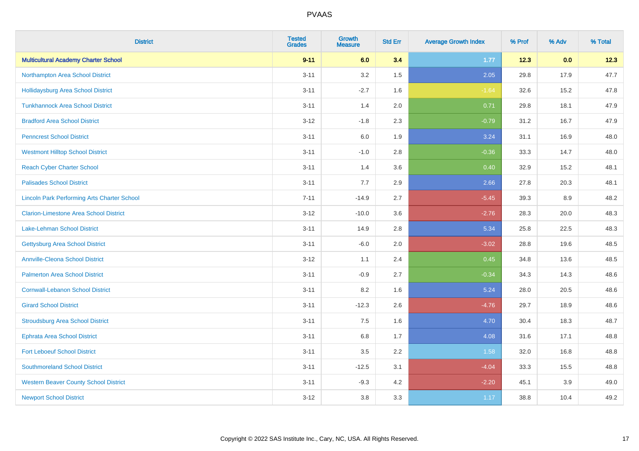| <b>District</b>                                    | <b>Tested</b><br><b>Grades</b> | <b>Growth</b><br><b>Measure</b> | <b>Std Err</b> | <b>Average Growth Index</b> | % Prof | % Adv | % Total |
|----------------------------------------------------|--------------------------------|---------------------------------|----------------|-----------------------------|--------|-------|---------|
| <b>Multicultural Academy Charter School</b>        | $9 - 11$                       | 6.0                             | 3.4            | 1.77                        | 12.3   | 0.0   | 12.3    |
| Northampton Area School District                   | $3 - 11$                       | 3.2                             | 1.5            | 2.05                        | 29.8   | 17.9  | 47.7    |
| <b>Hollidaysburg Area School District</b>          | $3 - 11$                       | $-2.7$                          | 1.6            | $-1.64$                     | 32.6   | 15.2  | 47.8    |
| <b>Tunkhannock Area School District</b>            | $3 - 11$                       | 1.4                             | 2.0            | 0.71                        | 29.8   | 18.1  | 47.9    |
| <b>Bradford Area School District</b>               | $3 - 12$                       | $-1.8$                          | 2.3            | $-0.79$                     | 31.2   | 16.7  | 47.9    |
| <b>Penncrest School District</b>                   | $3 - 11$                       | 6.0                             | 1.9            | 3.24                        | 31.1   | 16.9  | 48.0    |
| <b>Westmont Hilltop School District</b>            | $3 - 11$                       | $-1.0$                          | 2.8            | $-0.36$                     | 33.3   | 14.7  | 48.0    |
| <b>Reach Cyber Charter School</b>                  | $3 - 11$                       | 1.4                             | 3.6            | 0.40                        | 32.9   | 15.2  | 48.1    |
| <b>Palisades School District</b>                   | $3 - 11$                       | 7.7                             | 2.9            | 2.66                        | 27.8   | 20.3  | 48.1    |
| <b>Lincoln Park Performing Arts Charter School</b> | $7 - 11$                       | $-14.9$                         | 2.7            | $-5.45$                     | 39.3   | 8.9   | 48.2    |
| <b>Clarion-Limestone Area School District</b>      | $3 - 12$                       | $-10.0$                         | 3.6            | $-2.76$                     | 28.3   | 20.0  | 48.3    |
| <b>Lake-Lehman School District</b>                 | $3 - 11$                       | 14.9                            | 2.8            | 5.34                        | 25.8   | 22.5  | 48.3    |
| <b>Gettysburg Area School District</b>             | $3 - 11$                       | $-6.0$                          | 2.0            | $-3.02$                     | 28.8   | 19.6  | 48.5    |
| <b>Annville-Cleona School District</b>             | $3 - 12$                       | 1.1                             | 2.4            | 0.45                        | 34.8   | 13.6  | 48.5    |
| <b>Palmerton Area School District</b>              | $3 - 11$                       | $-0.9$                          | 2.7            | $-0.34$                     | 34.3   | 14.3  | 48.6    |
| <b>Cornwall-Lebanon School District</b>            | $3 - 11$                       | 8.2                             | 1.6            | 5.24                        | 28.0   | 20.5  | 48.6    |
| <b>Girard School District</b>                      | $3 - 11$                       | $-12.3$                         | 2.6            | $-4.76$                     | 29.7   | 18.9  | 48.6    |
| <b>Stroudsburg Area School District</b>            | $3 - 11$                       | 7.5                             | 1.6            | 4.70                        | 30.4   | 18.3  | 48.7    |
| <b>Ephrata Area School District</b>                | $3 - 11$                       | $6.8\,$                         | 1.7            | 4.08                        | 31.6   | 17.1  | 48.8    |
| <b>Fort Leboeuf School District</b>                | $3 - 11$                       | 3.5                             | 2.2            | 1.58                        | 32.0   | 16.8  | 48.8    |
| <b>Southmoreland School District</b>               | $3 - 11$                       | $-12.5$                         | 3.1            | $-4.04$                     | 33.3   | 15.5  | 48.8    |
| <b>Western Beaver County School District</b>       | $3 - 11$                       | $-9.3$                          | 4.2            | $-2.20$                     | 45.1   | 3.9   | 49.0    |
| <b>Newport School District</b>                     | $3 - 12$                       | 3.8                             | 3.3            | 1.17                        | 38.8   | 10.4  | 49.2    |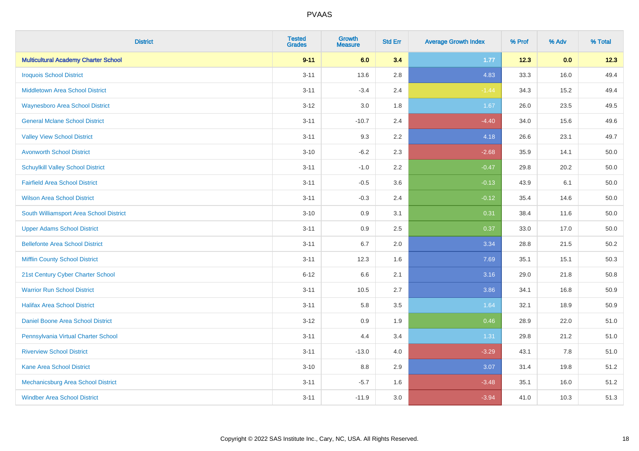| <b>District</b>                             | <b>Tested</b><br><b>Grades</b> | <b>Growth</b><br><b>Measure</b> | <b>Std Err</b> | <b>Average Growth Index</b> | % Prof | % Adv | % Total |
|---------------------------------------------|--------------------------------|---------------------------------|----------------|-----------------------------|--------|-------|---------|
| <b>Multicultural Academy Charter School</b> | $9 - 11$                       | 6.0                             | 3.4            | 1.77                        | 12.3   | 0.0   | 12.3    |
| <b>Iroquois School District</b>             | $3 - 11$                       | 13.6                            | 2.8            | 4.83                        | 33.3   | 16.0  | 49.4    |
| <b>Middletown Area School District</b>      | $3 - 11$                       | $-3.4$                          | 2.4            | $-1.44$                     | 34.3   | 15.2  | 49.4    |
| <b>Waynesboro Area School District</b>      | $3 - 12$                       | 3.0                             | 1.8            | 1.67                        | 26.0   | 23.5  | 49.5    |
| <b>General Mclane School District</b>       | $3 - 11$                       | $-10.7$                         | 2.4            | $-4.40$                     | 34.0   | 15.6  | 49.6    |
| <b>Valley View School District</b>          | $3 - 11$                       | 9.3                             | 2.2            | 4.18                        | 26.6   | 23.1  | 49.7    |
| <b>Avonworth School District</b>            | $3 - 10$                       | $-6.2$                          | 2.3            | $-2.68$                     | 35.9   | 14.1  | 50.0    |
| <b>Schuylkill Valley School District</b>    | $3 - 11$                       | $-1.0$                          | 2.2            | $-0.47$                     | 29.8   | 20.2  | 50.0    |
| <b>Fairfield Area School District</b>       | $3 - 11$                       | $-0.5$                          | 3.6            | $-0.13$                     | 43.9   | 6.1   | 50.0    |
| <b>Wilson Area School District</b>          | $3 - 11$                       | $-0.3$                          | 2.4            | $-0.12$                     | 35.4   | 14.6  | 50.0    |
| South Williamsport Area School District     | $3 - 10$                       | 0.9                             | 3.1            | 0.31                        | 38.4   | 11.6  | 50.0    |
| <b>Upper Adams School District</b>          | $3 - 11$                       | 0.9                             | 2.5            | 0.37                        | 33.0   | 17.0  | 50.0    |
| <b>Bellefonte Area School District</b>      | $3 - 11$                       | 6.7                             | 2.0            | 3.34                        | 28.8   | 21.5  | 50.2    |
| <b>Mifflin County School District</b>       | $3 - 11$                       | 12.3                            | 1.6            | 7.69                        | 35.1   | 15.1  | 50.3    |
| 21st Century Cyber Charter School           | $6 - 12$                       | 6.6                             | 2.1            | 3.16                        | 29.0   | 21.8  | 50.8    |
| <b>Warrior Run School District</b>          | $3 - 11$                       | 10.5                            | 2.7            | 3.86                        | 34.1   | 16.8  | 50.9    |
| <b>Halifax Area School District</b>         | $3 - 11$                       | 5.8                             | 3.5            | 1.64                        | 32.1   | 18.9  | 50.9    |
| Daniel Boone Area School District           | $3 - 12$                       | 0.9                             | 1.9            | 0.46                        | 28.9   | 22.0  | 51.0    |
| Pennsylvania Virtual Charter School         | $3 - 11$                       | 4.4                             | 3.4            | 1.31                        | 29.8   | 21.2  | 51.0    |
| <b>Riverview School District</b>            | $3 - 11$                       | $-13.0$                         | 4.0            | $-3.29$                     | 43.1   | 7.8   | 51.0    |
| Kane Area School District                   | $3 - 10$                       | 8.8                             | 2.9            | 3.07                        | 31.4   | 19.8  | 51.2    |
| Mechanicsburg Area School District          | $3 - 11$                       | $-5.7$                          | 1.6            | $-3.48$                     | 35.1   | 16.0  | 51.2    |
| <b>Windber Area School District</b>         | $3 - 11$                       | $-11.9$                         | 3.0            | $-3.94$                     | 41.0   | 10.3  | 51.3    |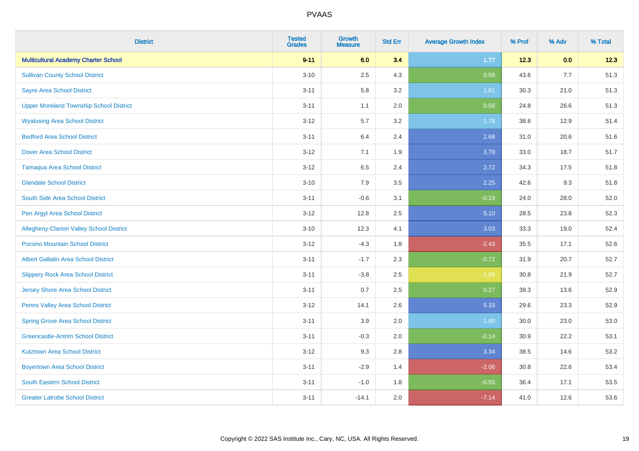| <b>District</b>                                | <b>Tested</b><br><b>Grades</b> | Growth<br><b>Measure</b> | <b>Std Err</b> | <b>Average Growth Index</b> | % Prof | % Adv | % Total |
|------------------------------------------------|--------------------------------|--------------------------|----------------|-----------------------------|--------|-------|---------|
| <b>Multicultural Academy Charter School</b>    | $9 - 11$                       | 6.0                      | 3.4            | 1.77                        | 12.3   | 0.0   | 12.3    |
| <b>Sullivan County School District</b>         | $3 - 10$                       | 2.5                      | 4.3            | 0.58                        | 43.6   | 7.7   | 51.3    |
| <b>Sayre Area School District</b>              | $3 - 11$                       | 5.8                      | 3.2            | 1.81                        | 30.3   | 21.0  | 51.3    |
| <b>Upper Moreland Township School District</b> | $3 - 11$                       | 1.1                      | 2.0            | 0.56                        | 24.8   | 26.6  | 51.3    |
| <b>Wyalusing Area School District</b>          | $3 - 12$                       | 5.7                      | 3.2            | 1.78                        | 38.6   | 12.9  | 51.4    |
| <b>Bedford Area School District</b>            | $3 - 11$                       | 6.4                      | 2.4            | 2.68                        | 31.0   | 20.6  | 51.6    |
| <b>Dover Area School District</b>              | $3-12$                         | 7.1                      | 1.9            | 3.78                        | 33.0   | 18.7  | 51.7    |
| <b>Tamaqua Area School District</b>            | $3 - 12$                       | 6.5                      | 2.4            | 2.72                        | 34.3   | 17.5  | 51.8    |
| <b>Glendale School District</b>                | $3 - 10$                       | 7.9                      | 3.5            | 2.25                        | 42.6   | 9.3   | 51.8    |
| South Side Area School District                | $3 - 11$                       | $-0.6$                   | 3.1            | $-0.19$                     | 24.0   | 28.0  | 52.0    |
| Pen Argyl Area School District                 | $3 - 12$                       | 12.8                     | 2.5            | 5.10                        | 28.5   | 23.8  | 52.3    |
| Allegheny-Clarion Valley School District       | $3 - 10$                       | 12.3                     | 4.1            | 3.03                        | 33.3   | 19.0  | 52.4    |
| Pocono Mountain School District                | $3 - 12$                       | $-4.3$                   | 1.8            | $-2.43$                     | 35.5   | 17.1  | 52.6    |
| <b>Albert Gallatin Area School District</b>    | $3 - 11$                       | $-1.7$                   | 2.3            | $-0.72$                     | 31.9   | 20.7  | 52.7    |
| <b>Slippery Rock Area School District</b>      | $3 - 11$                       | $-3.8$                   | 2.5            | $-1.56$                     | 30.8   | 21.9  | 52.7    |
| <b>Jersey Shore Area School District</b>       | $3 - 11$                       | 0.7                      | 2.5            | 0.27                        | 39.3   | 13.6  | 52.9    |
| <b>Penns Valley Area School District</b>       | $3 - 12$                       | 14.1                     | 2.6            | 5.33                        | 29.6   | 23.3  | 52.9    |
| <b>Spring Grove Area School District</b>       | $3 - 11$                       | 3.9                      | 2.0            | 1.90                        | 30.0   | 23.0  | 53.0    |
| <b>Greencastle-Antrim School District</b>      | $3 - 11$                       | $-0.3$                   | 2.0            | $-0.14$                     | 30.9   | 22.2  | 53.1    |
| <b>Kutztown Area School District</b>           | $3 - 12$                       | 9.3                      | 2.8            | 3.34                        | 38.5   | 14.6  | 53.2    |
| <b>Boyertown Area School District</b>          | $3 - 11$                       | $-2.9$                   | 1.4            | $-2.06$                     | 30.8   | 22.6  | 53.4    |
| South Eastern School District                  | $3 - 11$                       | $-1.0$                   | 1.8            | $-0.55$                     | 36.4   | 17.1  | 53.5    |
| <b>Greater Latrobe School District</b>         | $3 - 11$                       | $-14.1$                  | 2.0            | $-7.14$                     | 41.0   | 12.6  | 53.6    |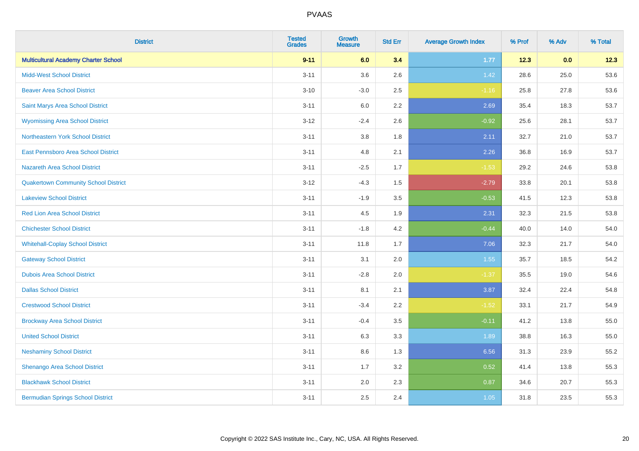| <b>District</b>                             | <b>Tested</b><br><b>Grades</b> | <b>Growth</b><br><b>Measure</b> | <b>Std Err</b> | <b>Average Growth Index</b> | % Prof | % Adv | % Total |
|---------------------------------------------|--------------------------------|---------------------------------|----------------|-----------------------------|--------|-------|---------|
| <b>Multicultural Academy Charter School</b> | $9 - 11$                       | 6.0                             | 3.4            | $1.77$                      | 12.3   | 0.0   | 12.3    |
| <b>Midd-West School District</b>            | $3 - 11$                       | 3.6                             | 2.6            | 1.42                        | 28.6   | 25.0  | 53.6    |
| <b>Beaver Area School District</b>          | $3 - 10$                       | $-3.0$                          | 2.5            | $-1.16$                     | 25.8   | 27.8  | 53.6    |
| Saint Marys Area School District            | $3 - 11$                       | 6.0                             | 2.2            | 2.69                        | 35.4   | 18.3  | 53.7    |
| <b>Wyomissing Area School District</b>      | $3 - 12$                       | $-2.4$                          | 2.6            | $-0.92$                     | 25.6   | 28.1  | 53.7    |
| Northeastern York School District           | $3 - 11$                       | $3.8\,$                         | 1.8            | 2.11                        | 32.7   | 21.0  | 53.7    |
| East Pennsboro Area School District         | $3 - 11$                       | 4.8                             | 2.1            | 2.26                        | 36.8   | 16.9  | 53.7    |
| <b>Nazareth Area School District</b>        | $3 - 11$                       | $-2.5$                          | 1.7            | $-1.53$                     | 29.2   | 24.6  | 53.8    |
| <b>Quakertown Community School District</b> | $3 - 12$                       | $-4.3$                          | 1.5            | $-2.79$                     | 33.8   | 20.1  | 53.8    |
| <b>Lakeview School District</b>             | $3 - 11$                       | $-1.9$                          | 3.5            | $-0.53$                     | 41.5   | 12.3  | 53.8    |
| <b>Red Lion Area School District</b>        | $3 - 11$                       | 4.5                             | 1.9            | 2.31                        | 32.3   | 21.5  | 53.8    |
| <b>Chichester School District</b>           | $3 - 11$                       | $-1.8$                          | 4.2            | $-0.44$                     | 40.0   | 14.0  | 54.0    |
| <b>Whitehall-Coplay School District</b>     | $3 - 11$                       | 11.8                            | 1.7            | 7.06                        | 32.3   | 21.7  | 54.0    |
| <b>Gateway School District</b>              | $3 - 11$                       | 3.1                             | 2.0            | 1.55                        | 35.7   | 18.5  | 54.2    |
| <b>Dubois Area School District</b>          | $3 - 11$                       | $-2.8$                          | 2.0            | $-1.37$                     | 35.5   | 19.0  | 54.6    |
| <b>Dallas School District</b>               | $3 - 11$                       | 8.1                             | 2.1            | 3.87                        | 32.4   | 22.4  | 54.8    |
| <b>Crestwood School District</b>            | $3 - 11$                       | $-3.4$                          | 2.2            | $-1.52$                     | 33.1   | 21.7  | 54.9    |
| <b>Brockway Area School District</b>        | $3 - 11$                       | $-0.4$                          | 3.5            | $-0.11$                     | 41.2   | 13.8  | 55.0    |
| <b>United School District</b>               | $3 - 11$                       | 6.3                             | 3.3            | 1.89                        | 38.8   | 16.3  | 55.0    |
| <b>Neshaminy School District</b>            | $3 - 11$                       | 8.6                             | 1.3            | 6.56                        | 31.3   | 23.9  | 55.2    |
| Shenango Area School District               | $3 - 11$                       | 1.7                             | 3.2            | 0.52                        | 41.4   | 13.8  | 55.3    |
| <b>Blackhawk School District</b>            | $3 - 11$                       | 2.0                             | 2.3            | 0.87                        | 34.6   | 20.7  | 55.3    |
| <b>Bermudian Springs School District</b>    | $3 - 11$                       | 2.5                             | 2.4            | 1.05                        | 31.8   | 23.5  | 55.3    |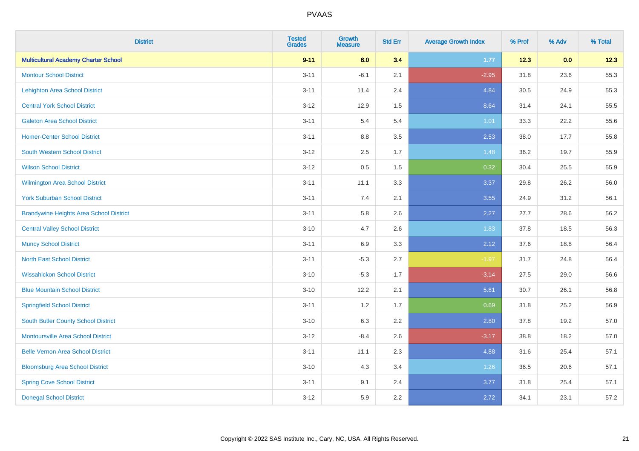| <b>District</b>                                | <b>Tested</b><br><b>Grades</b> | <b>Growth</b><br><b>Measure</b> | <b>Std Err</b> | <b>Average Growth Index</b> | % Prof | % Adv | % Total |
|------------------------------------------------|--------------------------------|---------------------------------|----------------|-----------------------------|--------|-------|---------|
| <b>Multicultural Academy Charter School</b>    | $9 - 11$                       | 6.0                             | 3.4            | $1.77$                      | 12.3   | 0.0   | 12.3    |
| <b>Montour School District</b>                 | $3 - 11$                       | $-6.1$                          | 2.1            | $-2.95$                     | 31.8   | 23.6  | 55.3    |
| <b>Lehighton Area School District</b>          | $3 - 11$                       | 11.4                            | 2.4            | 4.84                        | 30.5   | 24.9  | 55.3    |
| <b>Central York School District</b>            | $3 - 12$                       | 12.9                            | 1.5            | 8.64                        | 31.4   | 24.1  | 55.5    |
| <b>Galeton Area School District</b>            | $3 - 11$                       | 5.4                             | 5.4            | 1.01                        | 33.3   | 22.2  | 55.6    |
| <b>Homer-Center School District</b>            | $3 - 11$                       | $8.8\,$                         | 3.5            | 2.53                        | 38.0   | 17.7  | 55.8    |
| <b>South Western School District</b>           | $3 - 12$                       | 2.5                             | 1.7            | 1.48                        | 36.2   | 19.7  | 55.9    |
| <b>Wilson School District</b>                  | $3 - 12$                       | 0.5                             | 1.5            | 0.32                        | 30.4   | 25.5  | 55.9    |
| <b>Wilmington Area School District</b>         | $3 - 11$                       | 11.1                            | 3.3            | 3.37                        | 29.8   | 26.2  | 56.0    |
| <b>York Suburban School District</b>           | $3 - 11$                       | 7.4                             | 2.1            | 3.55                        | 24.9   | 31.2  | 56.1    |
| <b>Brandywine Heights Area School District</b> | $3 - 11$                       | 5.8                             | 2.6            | 2.27                        | 27.7   | 28.6  | 56.2    |
| <b>Central Valley School District</b>          | $3 - 10$                       | 4.7                             | 2.6            | 1.83                        | 37.8   | 18.5  | 56.3    |
| <b>Muncy School District</b>                   | $3 - 11$                       | 6.9                             | 3.3            | 2.12                        | 37.6   | 18.8  | 56.4    |
| <b>North East School District</b>              | $3 - 11$                       | $-5.3$                          | 2.7            | $-1.97$                     | 31.7   | 24.8  | 56.4    |
| <b>Wissahickon School District</b>             | $3 - 10$                       | $-5.3$                          | 1.7            | $-3.14$                     | 27.5   | 29.0  | 56.6    |
| <b>Blue Mountain School District</b>           | $3 - 10$                       | 12.2                            | 2.1            | 5.81                        | 30.7   | 26.1  | 56.8    |
| <b>Springfield School District</b>             | $3 - 11$                       | 1.2                             | 1.7            | 0.69                        | 31.8   | 25.2  | 56.9    |
| <b>South Butler County School District</b>     | $3 - 10$                       | 6.3                             | 2.2            | 2.80                        | 37.8   | 19.2  | 57.0    |
| <b>Montoursville Area School District</b>      | $3 - 12$                       | $-8.4$                          | 2.6            | $-3.17$                     | 38.8   | 18.2  | 57.0    |
| <b>Belle Vernon Area School District</b>       | $3 - 11$                       | 11.1                            | 2.3            | 4.88                        | 31.6   | 25.4  | 57.1    |
| <b>Bloomsburg Area School District</b>         | $3 - 10$                       | 4.3                             | 3.4            | 1.26                        | 36.5   | 20.6  | 57.1    |
| <b>Spring Cove School District</b>             | $3 - 11$                       | 9.1                             | 2.4            | 3.77                        | 31.8   | 25.4  | 57.1    |
| <b>Donegal School District</b>                 | $3-12$                         | 5.9                             | 2.2            | 2.72                        | 34.1   | 23.1  | 57.2    |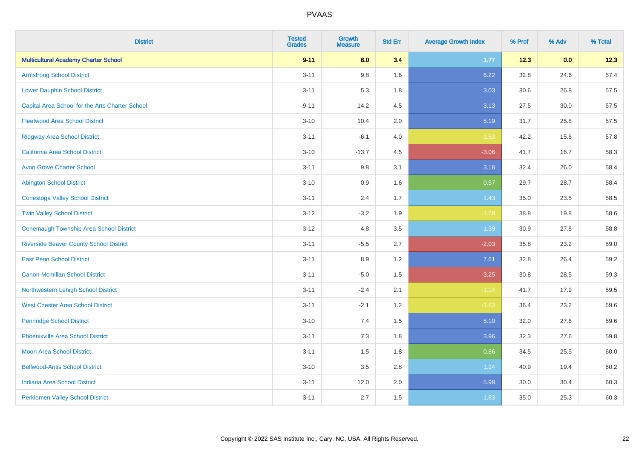| <b>District</b>                                 | <b>Tested</b><br><b>Grades</b> | <b>Growth</b><br><b>Measure</b> | <b>Std Err</b> | <b>Average Growth Index</b> | % Prof | % Adv | % Total |
|-------------------------------------------------|--------------------------------|---------------------------------|----------------|-----------------------------|--------|-------|---------|
| <b>Multicultural Academy Charter School</b>     | $9 - 11$                       | 6.0                             | 3.4            | 1.77                        | 12.3   | 0.0   | 12.3    |
| <b>Armstrong School District</b>                | $3 - 11$                       | $9.8\,$                         | 1.6            | 6.22                        | 32.8   | 24.6  | 57.4    |
| <b>Lower Dauphin School District</b>            | $3 - 11$                       | 5.3                             | 1.8            | 3.03                        | 30.6   | 26.8  | 57.5    |
| Capital Area School for the Arts Charter School | $9 - 11$                       | 14.2                            | 4.5            | 3.13                        | 27.5   | 30.0  | 57.5    |
| <b>Fleetwood Area School District</b>           | $3 - 10$                       | 10.4                            | 2.0            | 5.19                        | 31.7   | 25.8  | 57.5    |
| <b>Ridgway Area School District</b>             | $3 - 11$                       | $-6.1$                          | 4.0            | $-1.53$                     | 42.2   | 15.6  | 57.8    |
| California Area School District                 | $3 - 10$                       | $-13.7$                         | 4.5            | $-3.06$                     | 41.7   | 16.7  | 58.3    |
| <b>Avon Grove Charter School</b>                | $3 - 11$                       | $9.8\,$                         | 3.1            | 3.18                        | 32.4   | 26.0  | 58.4    |
| <b>Abington School District</b>                 | $3 - 10$                       | 0.9                             | 1.6            | 0.57                        | 29.7   | 28.7  | 58.4    |
| <b>Conestoga Valley School District</b>         | $3 - 11$                       | 2.4                             | 1.7            | 1.43                        | 35.0   | 23.5  | 58.5    |
| <b>Twin Valley School District</b>              | $3 - 12$                       | $-3.2$                          | 1.9            | $-1.68$                     | 38.8   | 19.8  | 58.6    |
| <b>Conemaugh Township Area School District</b>  | $3 - 12$                       | 4.8                             | 3.5            | 1.39                        | 30.9   | 27.8  | 58.8    |
| <b>Riverside Beaver County School District</b>  | $3 - 11$                       | $-5.5$                          | 2.7            | $-2.03$                     | 35.8   | 23.2  | 59.0    |
| <b>East Penn School District</b>                | $3 - 11$                       | 8.9                             | 1.2            | 7.61                        | 32.8   | 26.4  | 59.2    |
| <b>Canon-Mcmillan School District</b>           | $3 - 11$                       | $-5.0$                          | 1.5            | $-3.25$                     | 30.8   | 28.5  | 59.3    |
| Northwestern Lehigh School District             | $3 - 11$                       | $-2.4$                          | 2.1            | $-1.14$                     | 41.7   | 17.9  | 59.5    |
| <b>West Chester Area School District</b>        | $3 - 11$                       | $-2.1$                          | 1.2            | $-1.83$                     | 36.4   | 23.2  | 59.6    |
| <b>Pennridge School District</b>                | $3 - 10$                       | 7.4                             | 1.5            | 5.10                        | 32.0   | 27.6  | 59.6    |
| <b>Phoenixville Area School District</b>        | $3 - 11$                       | $7.3$                           | 1.8            | 3.96                        | 32.3   | 27.6  | 59.8    |
| Moon Area School District                       | $3 - 11$                       | 1.5                             | 1.8            | 0.86                        | 34.5   | 25.5  | 60.0    |
| <b>Bellwood-Antis School District</b>           | $3 - 10$                       | 3.5                             | 2.8            | 1.24                        | 40.9   | 19.4  | 60.2    |
| <b>Indiana Area School District</b>             | $3 - 11$                       | 12.0                            | 2.0            | 5.98                        | 30.0   | 30.4  | 60.3    |
| <b>Perkiomen Valley School District</b>         | $3 - 11$                       | 2.7                             | 1.5            | 1.83                        | 35.0   | 25.3  | 60.3    |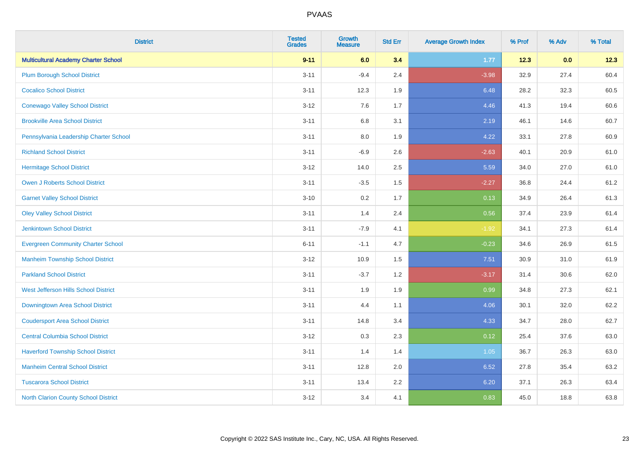| <b>District</b>                             | <b>Tested</b><br><b>Grades</b> | Growth<br><b>Measure</b> | <b>Std Err</b> | <b>Average Growth Index</b> | % Prof | % Adv | % Total |
|---------------------------------------------|--------------------------------|--------------------------|----------------|-----------------------------|--------|-------|---------|
| <b>Multicultural Academy Charter School</b> | $9 - 11$                       | 6.0                      | 3.4            | 1.77                        | 12.3   | 0.0   | 12.3    |
| <b>Plum Borough School District</b>         | $3 - 11$                       | $-9.4$                   | 2.4            | $-3.98$                     | 32.9   | 27.4  | 60.4    |
| <b>Cocalico School District</b>             | $3 - 11$                       | 12.3                     | 1.9            | 6.48                        | 28.2   | 32.3  | 60.5    |
| <b>Conewago Valley School District</b>      | $3 - 12$                       | 7.6                      | 1.7            | 4.46                        | 41.3   | 19.4  | 60.6    |
| <b>Brookville Area School District</b>      | $3 - 11$                       | 6.8                      | 3.1            | 2.19                        | 46.1   | 14.6  | 60.7    |
| Pennsylvania Leadership Charter School      | $3 - 11$                       | 8.0                      | 1.9            | 4.22                        | 33.1   | 27.8  | 60.9    |
| <b>Richland School District</b>             | $3 - 11$                       | $-6.9$                   | 2.6            | $-2.63$                     | 40.1   | 20.9  | 61.0    |
| <b>Hermitage School District</b>            | $3 - 12$                       | 14.0                     | 2.5            | 5.59                        | 34.0   | 27.0  | 61.0    |
| <b>Owen J Roberts School District</b>       | $3 - 11$                       | $-3.5$                   | 1.5            | $-2.27$                     | 36.8   | 24.4  | 61.2    |
| <b>Garnet Valley School District</b>        | $3 - 10$                       | 0.2                      | 1.7            | 0.13                        | 34.9   | 26.4  | 61.3    |
| <b>Oley Valley School District</b>          | $3 - 11$                       | 1.4                      | 2.4            | 0.56                        | 37.4   | 23.9  | 61.4    |
| <b>Jenkintown School District</b>           | $3 - 11$                       | $-7.9$                   | 4.1            | $-1.92$                     | 34.1   | 27.3  | 61.4    |
| <b>Evergreen Community Charter School</b>   | $6 - 11$                       | $-1.1$                   | 4.7            | $-0.23$                     | 34.6   | 26.9  | 61.5    |
| <b>Manheim Township School District</b>     | $3 - 12$                       | 10.9                     | 1.5            | 7.51                        | 30.9   | 31.0  | 61.9    |
| <b>Parkland School District</b>             | $3 - 11$                       | $-3.7$                   | 1.2            | $-3.17$                     | 31.4   | 30.6  | 62.0    |
| West Jefferson Hills School District        | $3 - 11$                       | 1.9                      | 1.9            | 0.99                        | 34.8   | 27.3  | 62.1    |
| Downingtown Area School District            | $3 - 11$                       | 4.4                      | 1.1            | 4.06                        | 30.1   | 32.0  | 62.2    |
| <b>Coudersport Area School District</b>     | $3 - 11$                       | 14.8                     | 3.4            | 4.33                        | 34.7   | 28.0  | 62.7    |
| <b>Central Columbia School District</b>     | $3 - 12$                       | 0.3                      | 2.3            | 0.12                        | 25.4   | 37.6  | 63.0    |
| <b>Haverford Township School District</b>   | $3 - 11$                       | 1.4                      | 1.4            | 1.05                        | 36.7   | 26.3  | 63.0    |
| <b>Manheim Central School District</b>      | $3 - 11$                       | 12.8                     | 2.0            | 6.52                        | 27.8   | 35.4  | 63.2    |
| <b>Tuscarora School District</b>            | $3 - 11$                       | 13.4                     | 2.2            | 6.20                        | 37.1   | 26.3  | 63.4    |
| North Clarion County School District        | $3 - 12$                       | 3.4                      | 4.1            | 0.83                        | 45.0   | 18.8  | 63.8    |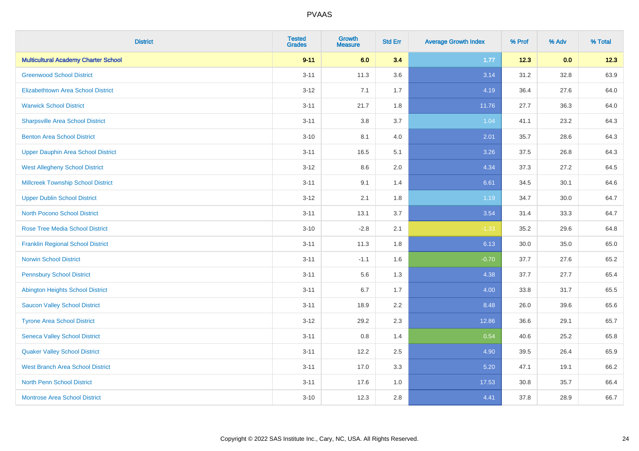| <b>District</b>                             | <b>Tested</b><br><b>Grades</b> | <b>Growth</b><br><b>Measure</b> | <b>Std Err</b> | <b>Average Growth Index</b> | % Prof | % Adv | % Total |
|---------------------------------------------|--------------------------------|---------------------------------|----------------|-----------------------------|--------|-------|---------|
| <b>Multicultural Academy Charter School</b> | $9 - 11$                       | 6.0                             | 3.4            | 1.77                        | 12.3   | 0.0   | 12.3    |
| <b>Greenwood School District</b>            | $3 - 11$                       | 11.3                            | 3.6            | 3.14                        | 31.2   | 32.8  | 63.9    |
| <b>Elizabethtown Area School District</b>   | $3 - 12$                       | 7.1                             | 1.7            | 4.19                        | 36.4   | 27.6  | 64.0    |
| <b>Warwick School District</b>              | $3 - 11$                       | 21.7                            | 1.8            | 11.76                       | 27.7   | 36.3  | 64.0    |
| <b>Sharpsville Area School District</b>     | $3 - 11$                       | 3.8                             | 3.7            | 1.04                        | 41.1   | 23.2  | 64.3    |
| <b>Benton Area School District</b>          | $3 - 10$                       | 8.1                             | 4.0            | 2.01                        | 35.7   | 28.6  | 64.3    |
| <b>Upper Dauphin Area School District</b>   | $3 - 11$                       | 16.5                            | 5.1            | 3.26                        | 37.5   | 26.8  | 64.3    |
| <b>West Allegheny School District</b>       | $3 - 12$                       | $8.6\,$                         | 2.0            | 4.34                        | 37.3   | 27.2  | 64.5    |
| <b>Millcreek Township School District</b>   | $3 - 11$                       | 9.1                             | 1.4            | 6.61                        | 34.5   | 30.1  | 64.6    |
| <b>Upper Dublin School District</b>         | $3 - 12$                       | 2.1                             | 1.8            | 1.19                        | 34.7   | 30.0  | 64.7    |
| <b>North Pocono School District</b>         | $3 - 11$                       | 13.1                            | 3.7            | 3.54                        | 31.4   | 33.3  | 64.7    |
| <b>Rose Tree Media School District</b>      | $3 - 10$                       | $-2.8$                          | 2.1            | $-1.33$                     | 35.2   | 29.6  | 64.8    |
| <b>Franklin Regional School District</b>    | $3 - 11$                       | 11.3                            | 1.8            | 6.13                        | 30.0   | 35.0  | 65.0    |
| <b>Norwin School District</b>               | $3 - 11$                       | $-1.1$                          | 1.6            | $-0.70$                     | 37.7   | 27.6  | 65.2    |
| <b>Pennsbury School District</b>            | $3 - 11$                       | 5.6                             | 1.3            | 4.38                        | 37.7   | 27.7  | 65.4    |
| <b>Abington Heights School District</b>     | $3 - 11$                       | 6.7                             | 1.7            | 4.00                        | 33.8   | 31.7  | 65.5    |
| <b>Saucon Valley School District</b>        | $3 - 11$                       | 18.9                            | 2.2            | 8.48                        | 26.0   | 39.6  | 65.6    |
| <b>Tyrone Area School District</b>          | $3 - 12$                       | 29.2                            | 2.3            | 12.86                       | 36.6   | 29.1  | 65.7    |
| <b>Seneca Valley School District</b>        | $3 - 11$                       | $0.8\,$                         | 1.4            | 0.54                        | 40.6   | 25.2  | 65.8    |
| <b>Quaker Valley School District</b>        | $3 - 11$                       | 12.2                            | 2.5            | 4.90                        | 39.5   | 26.4  | 65.9    |
| <b>West Branch Area School District</b>     | $3 - 11$                       | 17.0                            | 3.3            | 5.20                        | 47.1   | 19.1  | 66.2    |
| <b>North Penn School District</b>           | $3 - 11$                       | 17.6                            | 1.0            | 17.53                       | 30.8   | 35.7  | 66.4    |
| <b>Montrose Area School District</b>        | $3 - 10$                       | 12.3                            | 2.8            | 4.41                        | 37.8   | 28.9  | 66.7    |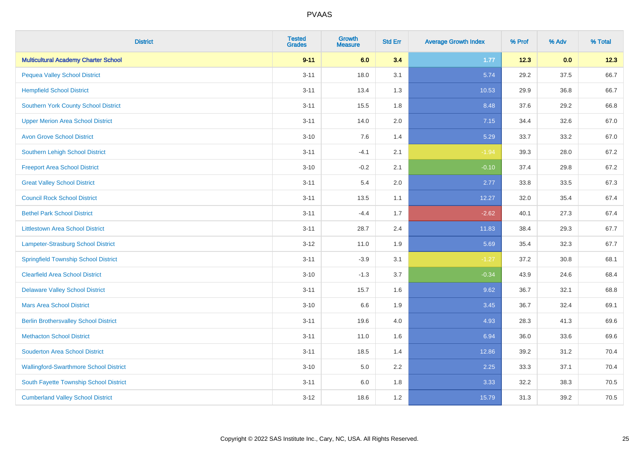| <b>District</b>                               | <b>Tested</b><br><b>Grades</b> | <b>Growth</b><br><b>Measure</b> | <b>Std Err</b> | <b>Average Growth Index</b> | % Prof | % Adv | % Total |
|-----------------------------------------------|--------------------------------|---------------------------------|----------------|-----------------------------|--------|-------|---------|
| <b>Multicultural Academy Charter School</b>   | $9 - 11$                       | 6.0                             | 3.4            | 1.77                        | 12.3   | 0.0   | 12.3    |
| <b>Pequea Valley School District</b>          | $3 - 11$                       | 18.0                            | 3.1            | 5.74                        | 29.2   | 37.5  | 66.7    |
| <b>Hempfield School District</b>              | $3 - 11$                       | 13.4                            | 1.3            | 10.53                       | 29.9   | 36.8  | 66.7    |
| Southern York County School District          | $3 - 11$                       | 15.5                            | 1.8            | 8.48                        | 37.6   | 29.2  | 66.8    |
| <b>Upper Merion Area School District</b>      | $3 - 11$                       | 14.0                            | 2.0            | 7.15                        | 34.4   | 32.6  | 67.0    |
| <b>Avon Grove School District</b>             | $3 - 10$                       | 7.6                             | 1.4            | 5.29                        | 33.7   | 33.2  | 67.0    |
| Southern Lehigh School District               | $3 - 11$                       | $-4.1$                          | 2.1            | $-1.94$                     | 39.3   | 28.0  | 67.2    |
| <b>Freeport Area School District</b>          | $3 - 10$                       | $-0.2$                          | 2.1            | $-0.10$                     | 37.4   | 29.8  | 67.2    |
| <b>Great Valley School District</b>           | $3 - 11$                       | 5.4                             | 2.0            | 2.77                        | 33.8   | 33.5  | 67.3    |
| <b>Council Rock School District</b>           | $3 - 11$                       | 13.5                            | 1.1            | 12.27                       | 32.0   | 35.4  | 67.4    |
| <b>Bethel Park School District</b>            | $3 - 11$                       | $-4.4$                          | 1.7            | $-2.62$                     | 40.1   | 27.3  | 67.4    |
| <b>Littlestown Area School District</b>       | $3 - 11$                       | 28.7                            | 2.4            | 11.83                       | 38.4   | 29.3  | 67.7    |
| Lampeter-Strasburg School District            | $3 - 12$                       | 11.0                            | 1.9            | 5.69                        | 35.4   | 32.3  | 67.7    |
| <b>Springfield Township School District</b>   | $3 - 11$                       | $-3.9$                          | 3.1            | $-1.27$                     | 37.2   | 30.8  | 68.1    |
| <b>Clearfield Area School District</b>        | $3 - 10$                       | $-1.3$                          | 3.7            | $-0.34$                     | 43.9   | 24.6  | 68.4    |
| <b>Delaware Valley School District</b>        | $3 - 11$                       | 15.7                            | 1.6            | 9.62                        | 36.7   | 32.1  | 68.8    |
| <b>Mars Area School District</b>              | $3 - 10$                       | 6.6                             | 1.9            | 3.45                        | 36.7   | 32.4  | 69.1    |
| <b>Berlin Brothersvalley School District</b>  | $3 - 11$                       | 19.6                            | 4.0            | 4.93                        | 28.3   | 41.3  | 69.6    |
| <b>Methacton School District</b>              | $3 - 11$                       | 11.0                            | 1.6            | 6.94                        | 36.0   | 33.6  | 69.6    |
| <b>Souderton Area School District</b>         | $3 - 11$                       | 18.5                            | 1.4            | 12.86                       | 39.2   | 31.2  | 70.4    |
| <b>Wallingford-Swarthmore School District</b> | $3 - 10$                       | 5.0                             | 2.2            | 2.25                        | 33.3   | 37.1  | 70.4    |
| South Fayette Township School District        | $3 - 11$                       | 6.0                             | 1.8            | 3.33                        | 32.2   | 38.3  | 70.5    |
| <b>Cumberland Valley School District</b>      | $3 - 12$                       | 18.6                            | 1.2            | 15.79                       | 31.3   | 39.2  | 70.5    |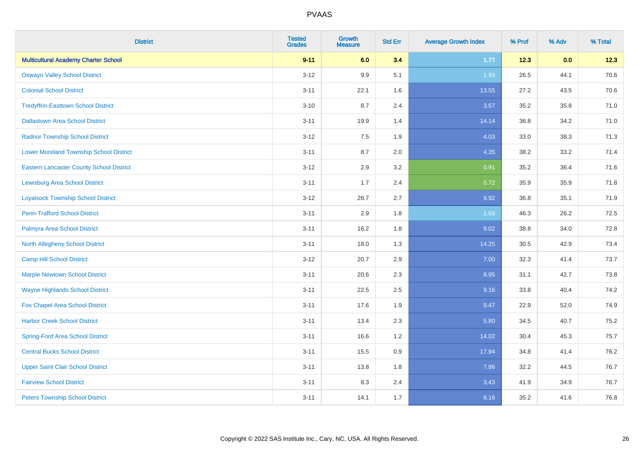| <b>District</b>                                 | <b>Tested</b><br><b>Grades</b> | <b>Growth</b><br><b>Measure</b> | <b>Std Err</b> | <b>Average Growth Index</b> | % Prof | % Adv | % Total |
|-------------------------------------------------|--------------------------------|---------------------------------|----------------|-----------------------------|--------|-------|---------|
| <b>Multicultural Academy Charter School</b>     | $9 - 11$                       | 6.0                             | 3.4            | 1.77                        | 12.3   | 0.0   | 12.3    |
| <b>Oswayo Valley School District</b>            | $3 - 12$                       | 9.9                             | 5.1            | 1.93                        | 26.5   | 44.1  | 70.6    |
| <b>Colonial School District</b>                 | $3 - 11$                       | 22.1                            | 1.6            | 13.55                       | 27.2   | 43.5  | 70.6    |
| <b>Tredyffrin-Easttown School District</b>      | $3 - 10$                       | 8.7                             | 2.4            | 3.57                        | 35.2   | 35.8  | 71.0    |
| <b>Dallastown Area School District</b>          | $3 - 11$                       | 19.9                            | 1.4            | 14.14                       | 36.8   | 34.2  | 71.0    |
| <b>Radnor Township School District</b>          | $3 - 12$                       | 7.5                             | 1.9            | 4.03                        | 33.0   | 38.3  | 71.3    |
| <b>Lower Moreland Township School District</b>  | $3 - 11$                       | 8.7                             | 2.0            | 4.35                        | 38.2   | 33.2  | 71.4    |
| <b>Eastern Lancaster County School District</b> | $3 - 12$                       | 2.9                             | 3.2            | 0.91                        | 35.2   | 36.4  | 71.6    |
| <b>Lewisburg Area School District</b>           | $3 - 11$                       | 1.7                             | 2.4            | 0.72                        | 35.9   | 35.9  | 71.8    |
| <b>Loyalsock Township School District</b>       | $3-12$                         | 26.7                            | 2.7            | 9.92                        | 36.8   | 35.1  | 71.9    |
| <b>Penn-Trafford School District</b>            | $3 - 11$                       | 2.9                             | 1.8            | 1.68                        | 46.3   | 26.2  | 72.5    |
| Palmyra Area School District                    | $3 - 11$                       | 16.2                            | 1.8            | 9.02                        | 38.8   | 34.0  | 72.8    |
| North Allegheny School District                 | $3 - 11$                       | 18.0                            | 1.3            | 14.25                       | 30.5   | 42.9  | 73.4    |
| <b>Camp Hill School District</b>                | $3 - 12$                       | 20.7                            | 2.9            | 7.00                        | 32.3   | 41.4  | 73.7    |
| <b>Marple Newtown School District</b>           | $3 - 11$                       | 20.6                            | 2.3            | 8.95                        | 31.1   | 42.7  | 73.8    |
| <b>Wayne Highlands School District</b>          | $3 - 11$                       | 22.5                            | 2.5            | 9.16                        | 33.8   | 40.4  | 74.2    |
| Fox Chapel Area School District                 | $3 - 11$                       | 17.6                            | 1.9            | 9.47                        | 22.9   | 52.0  | 74.9    |
| <b>Harbor Creek School District</b>             | $3 - 11$                       | 13.4                            | 2.3            | 5.80                        | 34.5   | 40.7  | 75.2    |
| <b>Spring-Ford Area School District</b>         | $3 - 11$                       | 16.6                            | 1.2            | 14.02                       | 30.4   | 45.3  | 75.7    |
| <b>Central Bucks School District</b>            | $3 - 11$                       | 15.5                            | 0.9            | 17.94                       | 34.8   | 41.4  | 76.2    |
| <b>Upper Saint Clair School District</b>        | $3 - 11$                       | 13.8                            | 1.8            | 7.86                        | 32.2   | 44.5  | 76.7    |
| <b>Fairview School District</b>                 | $3 - 11$                       | 8.3                             | 2.4            | 3.43                        | 41.9   | 34.9  | 76.7    |
| <b>Peters Township School District</b>          | $3 - 11$                       | 14.1                            | 1.7            | 8.16                        | 35.2   | 41.6  | 76.8    |